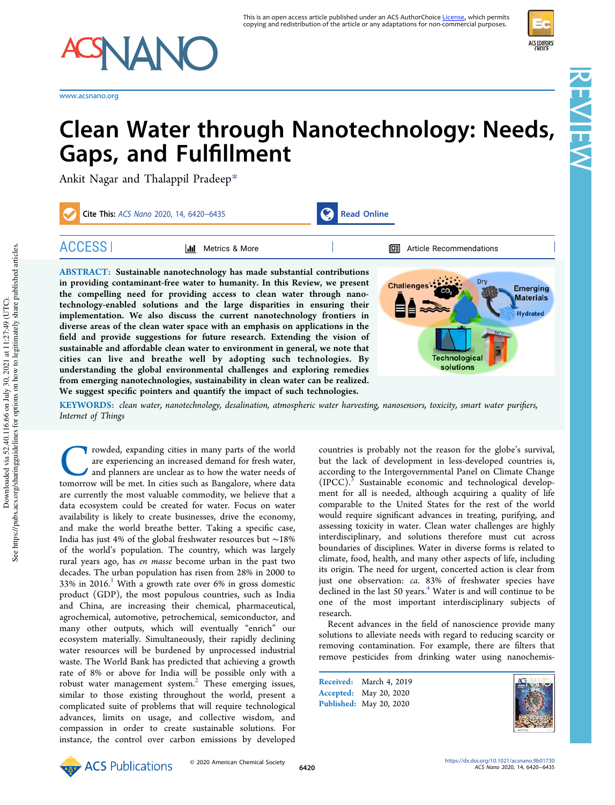

www.acsnano.org

# Clean Water through Nanotechnology: Needs, Gaps, and Fulfillment

Ankit Nagar and Thalappil Pradeep\*

|               | Cite This: ACS Nano 2020, 14, 6420-6435                                                                                                                                                                                                                                                                                                                                                      | <b>Read Online</b> |                                                                                                       |
|---------------|----------------------------------------------------------------------------------------------------------------------------------------------------------------------------------------------------------------------------------------------------------------------------------------------------------------------------------------------------------------------------------------------|--------------------|-------------------------------------------------------------------------------------------------------|
| <b>ACCESS</b> | Metrics & More                                                                                                                                                                                                                                                                                                                                                                               |                    | Article Recommendations<br>鸣                                                                          |
|               | <b>ABSTRACT:</b> Sustainable nanotechnology has made substantial contributions<br>in providing contaminant-free water to humanity. In this Review, we present<br>the compelling need for providing access to clean water through nano-<br>technology-enabled solutions and the large disparities in ensuring their<br>implementation We also discuss the current nanotechnology frontiers in |                    | Dry<br><b>Challenges</b><br><b>Emerging</b><br>CO <sub>2</sub><br><b>Materials</b><br><b>Hydrated</b> |

tion. We also discuss the diverse areas of the clean water space with an emphasis on applications in the field and provide suggestions for future research. Extending the vision of sustainable and affordable clean water to environment in general, we note that cities can live and breathe well by adopting such technologies. By understanding the global environmental challenges and exploring remedies from emerging nanotechnologies, sustainability in clean water can be realized. We suggest specific pointers and quantify the impact of such technologies.

KEYWORDS: *clean water, nanotechnology, desalination, atmospheric water harvesting, nanosensors, toxicity, smart water puri*fi*ers, Internet of Things*

Towded, expanding cities in many parts of the world<br>are experiencing an increased demand for fresh water,<br>and planners are unclear as to how the water needs of<br>tomorrow will be met. In cities such as Bangalore, where data rowded, expanding cities in many parts of the world are experiencing an increased demand for fresh water, and planners are unclear as to how the water needs of are currently the most valuable commodity, we believe that a data ecosystem could be created for water. Focus on water availability is likely to create businesses, drive the economy, and make the world breathe better. Taking a specific case, India has just 4% of the global freshwater resources but ∼18% of the world's population. The country, which was largely rural years ago, has *en masse* become urban in the past two decades. The urban population has risen from 28% in 2000 to 33% in 2016.<sup>1</sup> With a growth rate over 6% in gross domestic product (GDP), the most populous countries, such as India and China, are increasing their chemical, pharmaceutical, agrochemical, automotive, petrochemical, semiconductor, and many other outputs, which will eventually "enrich" our ecosystem materially. Simultaneously, their rapidly declining water resources will be burdened by unprocessed industrial waste. The World Bank has predicted that achieving a growth rate of 8% or above for India will be possible only with a robust water management system. $<sup>2</sup>$  These emerging issues,</sup> similar to those existing throughout the world, present a complicated suite of problems that will require technological advances, limits on usage, and collective wisdom, and compassion in order to create sustainable solutions. For instance, the control over carbon emissions by developed

countries is probably not the reason for the globe's survival, but the lack of development in less-developed countries is, according to the Intergovernmental Panel on Climate Change (IPCC).<sup>3</sup> Sustainable economic and technological development for all is needed, although acquiring a quality of life comparable to the United States for the rest of the world would require significant advances in treating, purifying, and assessing toxicity in water. Clean water challenges are highly interdisciplinary, and solutions therefore must cut across boundaries of disciplines. Water in diverse forms is related to climate, food, health, and many other aspects of life, including its origin. The need for urgent, concerted action is clear from just one observation: *ca*. 83% of freshwater species have declined in the last 50 years. $4$  Water is and will continue to be one of the most important interdisciplinary subjects of research.

Technologica solutions

Recent advances in the field of nanoscience provide many solutions to alleviate needs with regard to reducing scarcity or removing contamination. For example, there are filters that remove pesticides from drinking water using nanochemis-

Received: March 4, 2019 Accepted: May 20, 2020 Published: May 20, 2020



ACS EDITORS'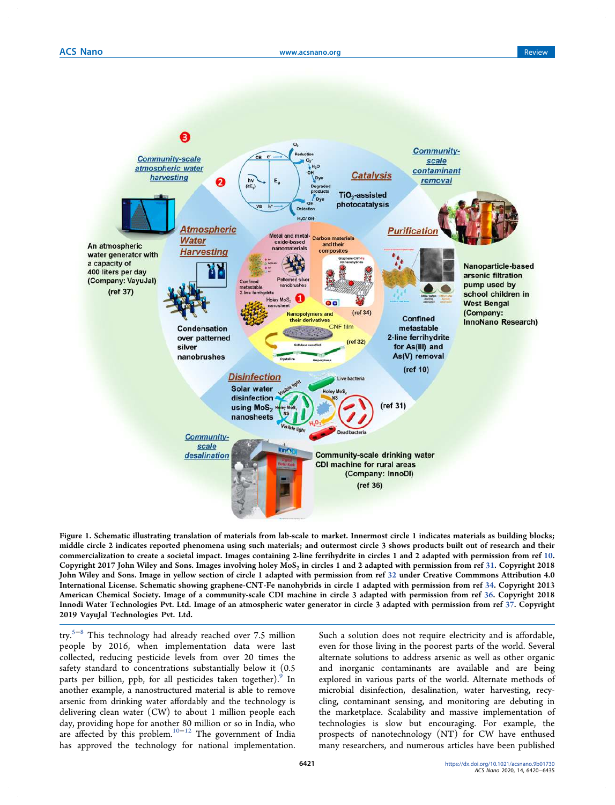

Figure 1. Schematic illustrating translation of materials from lab-scale to market. Innermost circle 1 indicates materials as building blocks; middle circle 2 indicates reported phenomena using such materials; and outermost circle 3 shows products built out of research and their commercialization to create a societal impact. Images containing 2-line ferrihydrite in circles 1 and 2 adapted with permission from ref 10. Copyright 2017 John Wiley and Sons. Images involving holey MoS $_2$  in circles 1 and 2 adapted with permission from ref 31. Copyright 2018 John Wiley and Sons. Image in yellow section of circle 1 adapted with permission from ref 32 under Creative Commmons Attribution 4.0 International License. Schematic showing graphene-CNT-Fe nanohybrids in circle 1 adapted with permission from ref 34. Copyright 2013 American Chemical Society. Image of a community-scale CDI machine in circle 3 adapted with permission from ref 36. Copyright 2018 Innodi Water Technologies Pvt. Ltd. Image of an atmospheric water generator in circle 3 adapted with permission from ref 37. Copyright 2019 VayuJal Technologies Pvt. Ltd.

try.5−<sup>8</sup> This technology had already reached over 7.5 million people by 2016, when implementation data were last collected, reducing pesticide levels from over 20 times the safety standard to concentrations substantially below it (0.5 parts per billion, ppb, for all pesticides taken together). $^{\circ}$  In another example, a nanostructured material is able to remove arsenic from drinking water affordably and the technology is delivering clean water (CW) to about 1 million people each day, providing hope for another 80 million or so in India, who are affected by this problem.10−<sup>12</sup> The government of India has approved the technology for national implementation.

Such a solution does not require electricity and is affordable, even for those living in the poorest parts of the world. Several alternate solutions to address arsenic as well as other organic and inorganic contaminants are available and are being explored in various parts of the world. Alternate methods of microbial disinfection, desalination, water harvesting, recycling, contaminant sensing, and monitoring are debuting in the marketplace. Scalability and massive implementation of technologies is slow but encouraging. For example, the prospects of nanotechnology (NT) for CW have enthused many researchers, and numerous articles have been published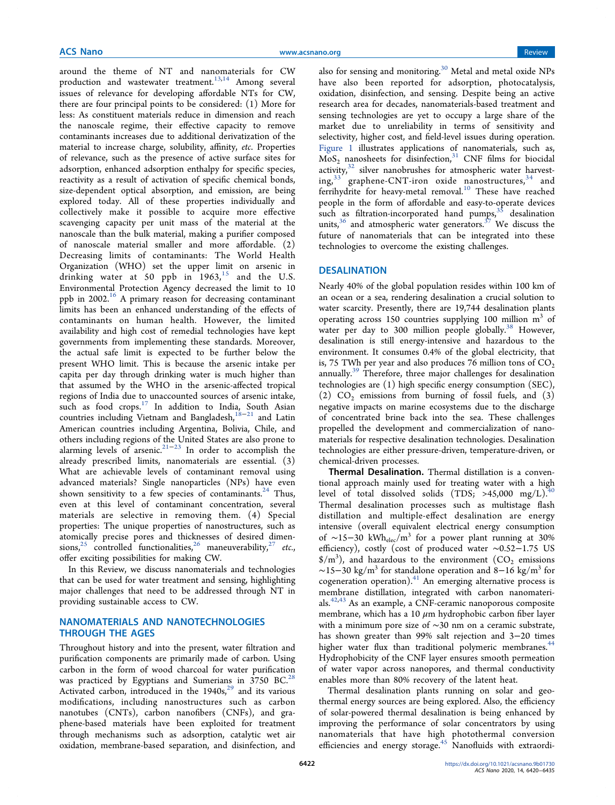around the theme of NT and nanomaterials for CW production and wastewater treatment.<sup>13,14</sup> Among several issues of relevance for developing affordable NTs for CW, there are four principal points to be considered: (1) More for less: As constituent materials reduce in dimension and reach the nanoscale regime, their effective capacity to remove contaminants increases due to additional derivatization of the material to increase charge, solubility, affinity, *etc*. Properties of relevance, such as the presence of active surface sites for adsorption, enhanced adsorption enthalpy for specific species, reactivity as a result of activation of specific chemical bonds, size-dependent optical absorption, and emission, are being explored today. All of these properties individually and collectively make it possible to acquire more effective scavenging capacity per unit mass of the material at the nanoscale than the bulk material, making a purifier composed of nanoscale material smaller and more affordable. (2) Decreasing limits of contaminants: The World Health Organization (WHO) set the upper limit on arsenic in drinking water at 50 ppb in  $1963$ ,<sup>15</sup> and the U.S. Environmental Protection Agency decreased the limit to 10 ppb in 2002.<sup>16</sup> A primary reason for decreasing contaminant limits has been an enhanced understanding of the effects of contaminants on human health. However, the limited availability and high cost of remedial technologies have kept governments from implementing these standards. Moreover, the actual safe limit is expected to be further below the present WHO limit. This is because the arsenic intake per capita per day through drinking water is much higher than that assumed by the WHO in the arsenic-affected tropical regions of India due to unaccounted sources of arsenic intake, such as food crops.<sup>17</sup> In addition to India, South Asian countries including Vietnam and Bangladesh,<sup>18−21</sup> and Latin American countries including Argentina, Bolivia, Chile, and others including regions of the United States are also prone to alarming levels of arsenic.<sup>21–23</sup> In order to accomplish the already prescribed limits, nanomaterials are essential. (3) What are achievable levels of contaminant removal using advanced materials? Single nanoparticles (NPs) have even shown sensitivity to a few species of contaminants. $24$  Thus, even at this level of contaminant concentration, several materials are selective in removing them. (4) Special properties: The unique properties of nanostructures, such as atomically precise pores and thicknesses of desired dimen $sions<sub>1</sub><sup>25</sup> controlled functionalities<sub>2</sub><sup>26</sup> maneuverability<sub>2</sub><sup>27</sup> etc.,$ offer exciting possibilities for making CW.

In this Review, we discuss nanomaterials and technologies that can be used for water treatment and sensing, highlighting major challenges that need to be addressed through NT in providing sustainable access to CW.

## NANOMATERIALS AND NANOTECHNOLOGIES THROUGH THE AGES

Throughout history and into the present, water filtration and purification components are primarily made of carbon. Using carbon in the form of wood charcoal for water purification was practiced by Egyptians and Sumerians in 3750 BC.<sup>28</sup> Activated carbon, introduced in the  $1940s$ ,<sup>29</sup> and its various modifications, including nanostructures such as carbon nanotubes (CNTs), carbon nanofibers (CNFs), and graphene-based materials have been exploited for treatment through mechanisms such as adsorption, catalytic wet air oxidation, membrane-based separation, and disinfection, and

also for sensing and monitoring.<sup>30</sup> Metal and metal oxide NPs have also been reported for adsorption, photocatalysis, oxidation, disinfection, and sensing. Despite being an active research area for decades, nanomaterials-based treatment and sensing technologies are yet to occupy a large share of the market due to unreliability in terms of sensitivity and selectivity, higher cost, and field-level issues during operation. Figure 1 illustrates applications of nanomaterials, such as,  $MoS<sub>2</sub>$  nanosheets for disinfection,<sup>31</sup> CNF films for biocidal activity, $32$  silver nanobrushes for atmospheric water harvesting,<sup>33</sup> graphene-CNT-iron oxide nanostructures,<sup>34</sup> and ferrihydrite for heavy-metal removal.<sup>10</sup> These have reached people in the form of affordable and easy-to-operate devices such as filtration-incorporated hand pumps,  $35$  desalination units,<sup>36</sup> and atmospheric water generators.<sup>37</sup> We discuss the future of nanomaterials that can be integrated into these technologies to overcome the existing challenges.

## DESALINATION

Nearly 40% of the global population resides within 100 km of an ocean or a sea, rendering desalination a crucial solution to water scarcity. Presently, there are 19,744 desalination plants operating across 150 countries supplying 100 million m<sup>3</sup> of water per day to 300 million people globally.<sup>38</sup> However, desalination is still energy-intensive and hazardous to the environment. It consumes 0.4% of the global electricity, that is, 75 TWh per year and also produces 76 million tons of  $CO<sub>2</sub>$ annually.<sup>39</sup> Therefore, three major challenges for desalination technologies are (1) high specific energy consumption (SEC), (2)  $CO<sub>2</sub>$  emissions from burning of fossil fuels, and (3) negative impacts on marine ecosystems due to the discharge of concentrated brine back into the sea. These challenges propelled the development and commercialization of nanomaterials for respective desalination technologies. Desalination technologies are either pressure-driven, temperature-driven, or chemical-driven processes.

Thermal Desalination. Thermal distillation is a conventional approach mainly used for treating water with a high level of total dissolved solids (TDS; >45,000 mg/L).<sup>4</sup> Thermal desalination processes such as multistage flash distillation and multiple-effect desalination are energy intensive (overall equivalent electrical energy consumption of ~15–30 kWh<sub>elec</sub>/m<sup>3</sup> for a power plant running at 30% efficiency), costly (cost of produced water ∼0.52−1.75 US  $\$/m<sup>3</sup>$ ), and hazardous to the environment (CO<sub>2</sub> emissions  $\sim$ 15−30 kg/m<sup>3</sup> for standalone operation and 8–16 kg/m<sup>3</sup> for cogeneration operation). $41$  An emerging alternative process is membrane distillation, integrated with carbon nanomaterials.42,43 As an example, a CNF-ceramic nanoporous composite membrane, which has a 10  $\mu$ m hydrophobic carbon fiber layer with a minimum pore size of ∼30 nm on a ceramic substrate, has shown greater than 99% salt rejection and 3−20 times higher water flux than traditional polymeric membranes.<sup>44</sup> Hydrophobicity of the CNF layer ensures smooth permeation of water vapor across nanopores, and thermal conductivity enables more than 80% recovery of the latent heat.

Thermal desalination plants running on solar and geothermal energy sources are being explored. Also, the efficiency of solar-powered thermal desalination is being enhanced by improving the performance of solar concentrators by using nanomaterials that have high photothermal conversion efficiencies and energy storage.<sup>45</sup> Nanofluids with extraordi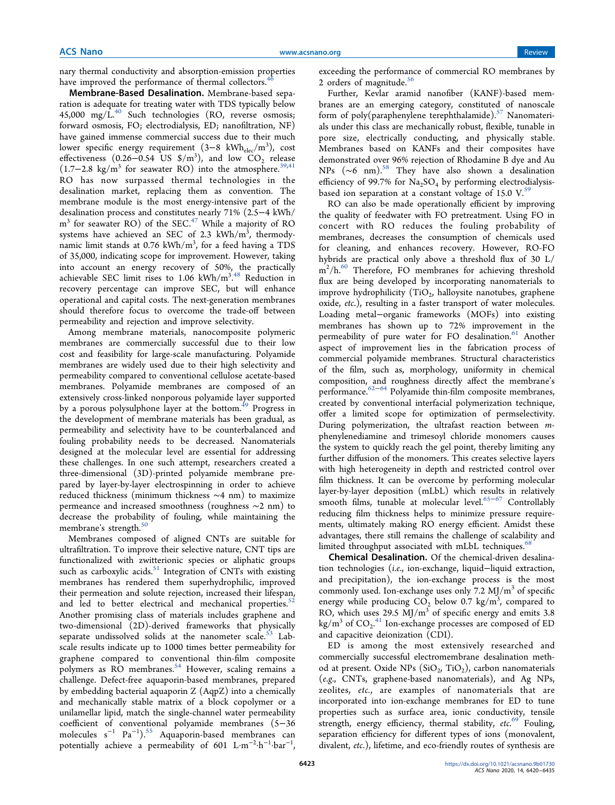nary thermal conductivity and absorption-emission properties have improved the performance of thermal collectors.<sup>4</sup>

Membrane-Based Desalination. Membrane-based separation is adequate for treating water with TDS typically below 45,000 mg/ $L^{40}$  Such technologies (RO, reverse osmosis; forward osmosis, FO; electrodialysis, ED; nanofiltration, NF) have gained immense commercial success due to their much lower specific energy requirement (3–8 kWh<sub>elec</sub>/m<sup>3</sup>), cost effectiveness  $(0.26-0.54 \text{ US } \frac{\text{m}}{3})$ , and low  $CO_2$  release (1.7−2.8 kg/m<sup>3</sup> for seawater RO) into the atmosphere.<sup>39,41</sup> RO has now surpassed thermal technologies in the desalination market, replacing them as convention. The membrane module is the most energy-intensive part of the desalination process and constitutes nearly 71% (2.5−4 kWh/ m<sup>3</sup> for seawater RO) of the SEC.<sup>47</sup> While a majority of RO systems have achieved an SEC of 2.3 kWh/m<sup>3</sup>, thermodynamic limit stands at 0.76 kWh/m $^3$ , for a feed having a TDS of 35,000, indicating scope for improvement. However, taking into account an energy recovery of 50%, the practically achievable SEC limit rises to  $1.06$  kWh/m<sup>3</sup>.<sup>48</sup> Reduction in recovery percentage can improve SEC, but will enhance operational and capital costs. The next-generation membranes should therefore focus to overcome the trade-off between permeability and rejection and improve selectivity.

Among membrane materials, nanocomposite polymeric membranes are commercially successful due to their low cost and feasibility for large-scale manufacturing. Polyamide membranes are widely used due to their high selectivity and permeability compared to conventional cellulose acetate-based membranes. Polyamide membranes are composed of an extensively cross-linked nonporous polyamide layer supported by a porous polysulphone layer at the bottom.<sup>49</sup> Progress in the development of membrane materials has been gradual, as permeability and selectivity have to be counterbalanced and fouling probability needs to be decreased. Nanomaterials designed at the molecular level are essential for addressing these challenges. In one such attempt, researchers created a three-dimensional (3D)-printed polyamide membrane prepared by layer-by-layer electrospinning in order to achieve reduced thickness (minimum thickness ∼4 nm) to maximize permeance and increased smoothness (roughness ∼2 nm) to decrease the probability of fouling, while maintaining the membrane's strength.<sup>50</sup>

Membranes composed of aligned CNTs are suitable for ultrafiltration. To improve their selective nature, CNT tips are functionalized with zwitterionic species or aliphatic groups such as carboxylic acids. $51$  Integration of CNTs with existing membranes has rendered them superhydrophilic, improved their permeation and solute rejection, increased their lifespan, and led to better electrical and mechanical properties.<sup>52</sup> Another promising class of materials includes graphene and two-dimensional (2D)-derived frameworks that physically separate undissolved solids at the nanometer scale.<sup>53</sup> Labscale results indicate up to 1000 times better permeability for graphene compared to conventional thin-film composite polymers as RO membranes.<sup>54</sup> However, scaling remains a challenge. Defect-free aquaporin-based membranes, prepared by embedding bacterial aquaporin Z (AqpZ) into a chemically and mechanically stable matrix of a block copolymer or a unilamellar lipid, match the single-channel water permeability coefficient of conventional polyamide membranes (5−36 molecules s<sup>−</sup><sup>1</sup> Pa<sup>−</sup><sup>1</sup> ).<sup>55</sup> Aquaporin-based membranes can potentially achieve a permeability of 601  $\text{L} \cdot \text{m}^{-2} \cdot \text{h}^{-1} \cdot \text{bar}^{-1}$ ,

exceeding the performance of commercial RO membranes by 2 orders of magnitude. $56$ 

Further, Kevlar aramid nanofiber (KANF)-based membranes are an emerging category, constituted of nanoscale form of poly(paraphenylene terephthalamide).<sup>57</sup> Nanomaterials under this class are mechanically robust, flexible, tunable in pore size, electrically conducting, and physically stable. Membranes based on KANFs and their composites have demonstrated over 96% rejection of Rhodamine B dye and Au NPs (~6 nm).<sup>58</sup> They have also shown a desalination efficiency of 99.7% for  $Na<sub>2</sub>SO<sub>4</sub>$  by performing electrodialysisbased ion separation at a constant voltage of 15.0  $V<sup>59</sup>$ 

RO can also be made operationally efficient by improving the quality of feedwater with FO pretreatment. Using FO in concert with RO reduces the fouling probability of membranes, decreases the consumption of chemicals used for cleaning, and enhances recovery. However, RO-FO hybrids are practical only above a threshold flux of 30 L/ m<sup>2</sup>/h.<sup>60</sup> Therefore, FO membranes for achieving threshold flux are being developed by incorporating nanomaterials to improve hydrophilicity  $(TiO_2)$ , halloysite nanotubes, graphene oxide, *etc*.), resulting in a faster transport of water molecules. Loading metal−organic frameworks (MOFs) into existing membranes has shown up to 72% improvement in the permeability of pure water for FO desalination.<sup>61</sup> Another aspect of improvement lies in the fabrication process of commercial polyamide membranes. Structural characteristics of the film, such as, morphology, uniformity in chemical composition, and roughness directly affect the membrane's performance.<sup>62−64</sup> Polyamide thin-film composite membranes, created by conventional interfacial polymerization technique, offer a limited scope for optimization of permselectivity. During polymerization, the ultrafast reaction between *m*phenylenediamine and trimesoyl chloride monomers causes the system to quickly reach the gel point, thereby limiting any further diffusion of the monomers. This creates selective layers with high heterogeneity in depth and restricted control over film thickness. It can be overcome by performing molecular layer-by-layer deposition (mLbL) which results in relatively smooth films, tunable at molecular level.<sup>65-67</sup> Controllably reducing film thickness helps to minimize pressure requirements, ultimately making RO energy efficient. Amidst these advantages, there still remains the challenge of scalability and limited throughput associated with mLbL techniques.<sup>68</sup>

Chemical Desalination. Of the chemical-driven desalination technologies (*i*.*e*., ion-exchange, liquid−liquid extraction, and precipitation), the ion-exchange process is the most commonly used. Ion-exchange uses only 7.2 MJ/m<sup>3</sup> of specific energy while producing  $CO_2$  below 0.7 kg/m<sup>3</sup>, compared to RO, which uses 29.5  $\text{MJ/m}^3$  of specific energy and emits 3.8  $\text{kg/m}^3$  of  $\text{CO}_2$ .<sup>41</sup> Ion-exchange processes are composed of ED and capacitive deionization (CDI).

ED is among the most extensively researched and commercially successful electromembrane desalination method at present. Oxide NPs  $(SiO_2, TiO_2)$ , carbon nanomaterials (*e*.*g*., CNTs, graphene-based nanomaterials), and Ag NPs, zeolites, *etc.*, are examples of nanomaterials that are incorporated into ion-exchange membranes for ED to tune properties such as surface area, ionic conductivity, tensile strength, energy efficiency, thermal stability, *etc*. <sup>69</sup> Fouling, separation efficiency for different types of ions (monovalent, divalent, *etc*.), lifetime, and eco-friendly routes of synthesis are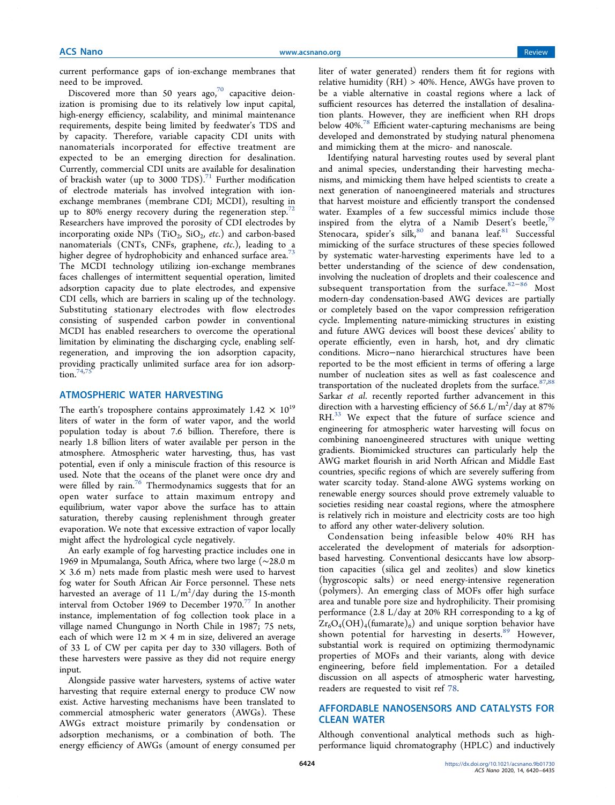current performance gaps of ion-exchange membranes that need to be improved.

Discovered more than 50 years ago, $70$  capacitive deionization is promising due to its relatively low input capital, high-energy efficiency, scalability, and minimal maintenance requirements, despite being limited by feedwater's TDS and by capacity. Therefore, variable capacity CDI units with nanomaterials incorporated for effective treatment are expected to be an emerging direction for desalination. Currently, commercial CDI units are available for desalination of brackish water (up to 3000 TDS).<sup>71</sup> Further modification of electrode materials has involved integration with ionexchange membranes (membrane CDI; MCDI), resulting in up to 80% energy recovery during the regeneration step. $72$ Researchers have improved the porosity of CDI electrodes by incorporating oxide  $NPs$   $(TiO_2, SiO_2, etc.)$  and carbon-based nanomaterials (CNTs, CNFs, graphene, *etc*.), leading to a higher degree of hydrophobicity and enhanced surface area.<sup>73</sup> The MCDI technology utilizing ion-exchange membranes faces challenges of intermittent sequential operation, limited adsorption capacity due to plate electrodes, and expensive CDI cells, which are barriers in scaling up of the technology. Substituting stationary electrodes with flow electrodes consisting of suspended carbon powder in conventional MCDI has enabled researchers to overcome the operational limitation by eliminating the discharging cycle, enabling selfregeneration, and improving the ion adsorption capacity, providing practically unlimited surface area for ion adsorption. $74,7$ 

## ATMOSPHERIC WATER HARVESTING

The earth's troposphere contains approximately  $1.42 \times 10^{19}$ liters of water in the form of water vapor, and the world population today is about 7.6 billion. Therefore, there is nearly 1.8 billion liters of water available per person in the atmosphere. Atmospheric water harvesting, thus, has vast potential, even if only a miniscule fraction of this resource is used. Note that the oceans of the planet were once dry and were filled by rain.<sup>76</sup> Thermodynamics suggests that for an open water surface to attain maximum entropy and equilibrium, water vapor above the surface has to attain saturation, thereby causing replenishment through greater evaporation. We note that excessive extraction of vapor locally might affect the hydrological cycle negatively.

An early example of fog harvesting practice includes one in 1969 in Mpumalanga, South Africa, where two large (∼28.0 m  $\times$  3.6 m) nets made from plastic mesh were used to harvest fog water for South African Air Force personnel. These nets harvested an average of 11  $\rm L/m^2/d$ ay during the 15-month interval from October 1969 to December 1970.<sup>77</sup> In another instance, implementation of fog collection took place in a village named Chungungo in North Chile in 1987; 75 nets, each of which were  $12 \text{ m} \times 4 \text{ m}$  in size, delivered an average of 33 L of CW per capita per day to 330 villagers. Both of these harvesters were passive as they did not require energy input.

Alongside passive water harvesters, systems of active water harvesting that require external energy to produce CW now exist. Active harvesting mechanisms have been translated to commercial atmospheric water generators (AWGs). These AWGs extract moisture primarily by condensation or adsorption mechanisms, or a combination of both. The energy efficiency of AWGs (amount of energy consumed per

liter of water generated) renders them fit for regions with relative humidity  $(RH) > 40\%$ . Hence, AWGs have proven to be a viable alternative in coastal regions where a lack of sufficient resources has deterred the installation of desalination plants. However, they are inefficient when RH drops below 40%.<sup>78</sup> Efficient water-capturing mechanisms are being developed and demonstrated by studying natural phenomena and mimicking them at the micro- and nanoscale.

Identifying natural harvesting routes used by several plant and animal species, understanding their harvesting mechanisms, and mimicking them have helped scientists to create a next generation of nanoengineered materials and structures that harvest moisture and efficiently transport the condensed water. Examples of a few successful mimics include those inspired from the elytra of a Namib Desert's beetle, $79$ Stenocara, spider's silk, $80$  and banana leaf. $81$  Successful mimicking of the surface structures of these species followed by systematic water-harvesting experiments have led to a better understanding of the science of dew condensation, involving the nucleation of droplets and their coalescence and subsequent transportation from the surface.<sup>82−86</sup> Most modern-day condensation-based AWG devices are partially or completely based on the vapor compression refrigeration cycle. Implementing nature-mimicking structures in existing and future AWG devices will boost these devices' ability to operate efficiently, even in harsh, hot, and dry climatic conditions. Micro−nano hierarchical structures have been reported to be the most efficient in terms of offering a large number of nucleation sites as well as fast coalescence and transportation of the nucleated droplets from the surface.  $87,88$ Sarkar *et al*. recently reported further advancement in this direction with a harvesting efficiency of  $56.6$  L/m<sup>2</sup>/day at 87% RH.<sup>33</sup> We expect that the future of surface science and engineering for atmospheric water harvesting will focus on combining nanoengineered structures with unique wetting gradients. Biomimicked structures can particularly help the AWG market flourish in arid North African and Middle East countries, specific regions of which are severely suffering from water scarcity today. Stand-alone AWG systems working on renewable energy sources should prove extremely valuable to societies residing near coastal regions, where the atmosphere is relatively rich in moisture and electricity costs are too high to afford any other water-delivery solution.

Condensation being infeasible below 40% RH has accelerated the development of materials for adsorptionbased harvesting. Conventional desiccants have low absorption capacities (silica gel and zeolites) and slow kinetics (hygroscopic salts) or need energy-intensive regeneration (polymers). An emerging class of MOFs offer high surface area and tunable pore size and hydrophilicity. Their promising performance (2.8 L/day at 20% RH corresponding to a kg of  $\text{Zr}_6\text{O}_4(\text{OH})_4(\text{fumarate})_6$  and unique sorption behavior have shown potential for harvesting in deserts.<sup>89</sup> However, substantial work is required on optimizing thermodynamic properties of MOFs and their variants, along with device engineering, before field implementation. For a detailed discussion on all aspects of atmospheric water harvesting, readers are requested to visit ref 78.

# AFFORDABLE NANOSENSORS AND CATALYSTS FOR **CLEAN WATER**

Although conventional analytical methods such as highperformance liquid chromatography (HPLC) and inductively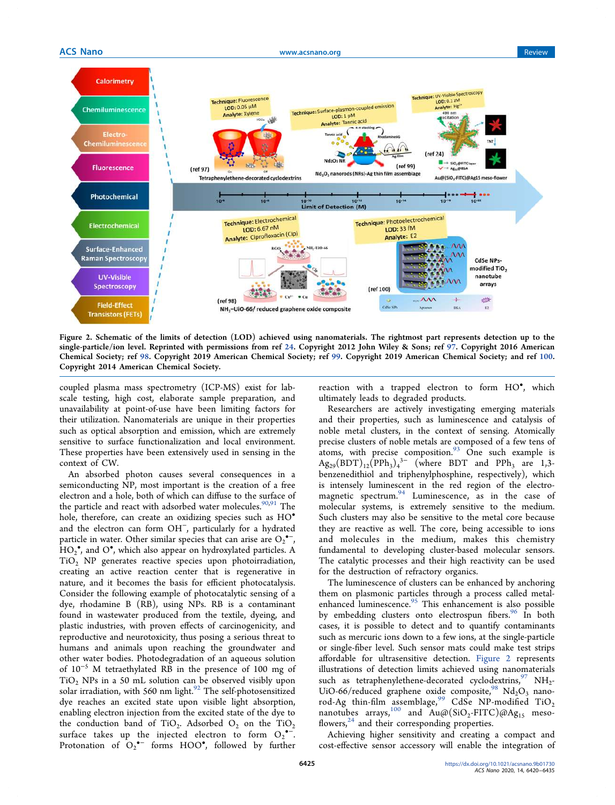

Figure 2. Schematic of the limits of detection (LOD) achieved using nanomaterials. The rightmost part represents detection up to the single-particle/ion level. Reprinted with permissions from ref 24. Copyright 2012 John Wiley & Sons; ref 97. Copyright 2016 American Chemical Society; ref 98. Copyright 2019 American Chemical Society; ref 99. Copyright 2019 American Chemical Society; and ref 100. Copyright 2014 American Chemical Society.

coupled plasma mass spectrometry (ICP-MS) exist for labscale testing, high cost, elaborate sample preparation, and unavailability at point-of-use have been limiting factors for their utilization. Nanomaterials are unique in their properties such as optical absorption and emission, which are extremely sensitive to surface functionalization and local environment. These properties have been extensively used in sensing in the context of CW.

An absorbed photon causes several consequences in a semiconducting NP, most important is the creation of a free electron and a hole, both of which can diffuse to the surface of the particle and react with adsorbed water molecules.<sup>90,91</sup> The hole, therefore, can create an oxidizing species such as HO<sup>•</sup> and the electron can form OH<sup>−</sup> , particularly for a hydrated particle in water. Other similar species that can arise are  $O_2$ <sup>\*</sup>,  $HO_2$ <sup>•</sup>, and O<sup>•</sup>, which also appear on hydroxylated particles. A TiO<sup>2</sup> NP generates reactive species upon photoirradiation, creating an active reaction center that is regenerative in nature, and it becomes the basis for efficient photocatalysis. Consider the following example of photocatalytic sensing of a dye, rhodamine B (RB), using NPs. RB is a contaminant found in wastewater produced from the textile, dyeing, and plastic industries, with proven effects of carcinogenicity, and reproductive and neurotoxicity, thus posing a serious threat to humans and animals upon reaching the groundwater and other water bodies. Photodegradation of an aqueous solution of 10<sup>−</sup><sup>5</sup> M tetraethylated RB in the presence of 100 mg of  $TiO<sub>2</sub>$  NPs in a 50 mL solution can be observed visibly upon solar irradiation, with 560 nm light.<sup>92</sup> The self-photosensitized dye reaches an excited state upon visible light absorption, enabling electron injection from the excited state of the dye to the conduction band of  $TiO_2$ . Adsorbed  $O_2$  on the  $TiO_2$ surface takes up the injected electron to form  $O_2$ <sup>--</sup>. Protonation of  $O_2$ <sup>\*-</sup> forms HOO<sup>\*</sup>, followed by further

reaction with a trapped electron to form HO<sup>°</sup>, which ultimately leads to degraded products.

Researchers are actively investigating emerging materials and their properties, such as luminescence and catalysis of noble metal clusters, in the context of sensing. Atomically precise clusters of noble metals are composed of a few tens of atoms, with precise composition. $93\overline{O}$  One such example is  $\text{Ag}_{29}(\text{BDT})_{12}(\text{PPh}_3)_4^{3-}$  (where BDT and PPh<sub>3</sub> are 1,3benzenedithiol and triphenylphosphine, respectively), which is intensely luminescent in the red region of the electromagnetic spectrum. $94$  Luminescence, as in the case of molecular systems, is extremely sensitive to the medium. Such clusters may also be sensitive to the metal core because they are reactive as well. The core, being accessible to ions and molecules in the medium, makes this chemistry fundamental to developing cluster-based molecular sensors. The catalytic processes and their high reactivity can be used for the destruction of refractory organics.

The luminescence of clusters can be enhanced by anchoring them on plasmonic particles through a process called metalenhanced luminescence.<sup>95</sup> This enhancement is also possible by embedding clusters onto electrospun fibers.<sup>96</sup> In both cases, it is possible to detect and to quantify contaminants such as mercuric ions down to a few ions, at the single-particle or single-fiber level. Such sensor mats could make test strips affordable for ultrasensitive detection. Figure 2 represents illustrations of detection limits achieved using nanomaterials such as tetraphenylethene-decorated cyclodextrins,  $^{97}$  NH<sub>2</sub>-UiO-66/reduced graphene oxide composite,  $98 \text{ Nd}_2\text{O}_3$  nanorod-Ag thin-film assemblage,<sup>99</sup> CdSe NP-modified TiO<sub>2</sub> nanotubes arrays,  $^{100}$  and  $\text{Au}(\mathcal{D}(\text{SiO}_2\text{-FITC})\mathcal{D}(\mathcal{A}\text{g}_{15})$  mesoflowers,<sup>24</sup> and their corresponding properties.

Achieving higher sensitivity and creating a compact and cost-effective sensor accessory will enable the integration of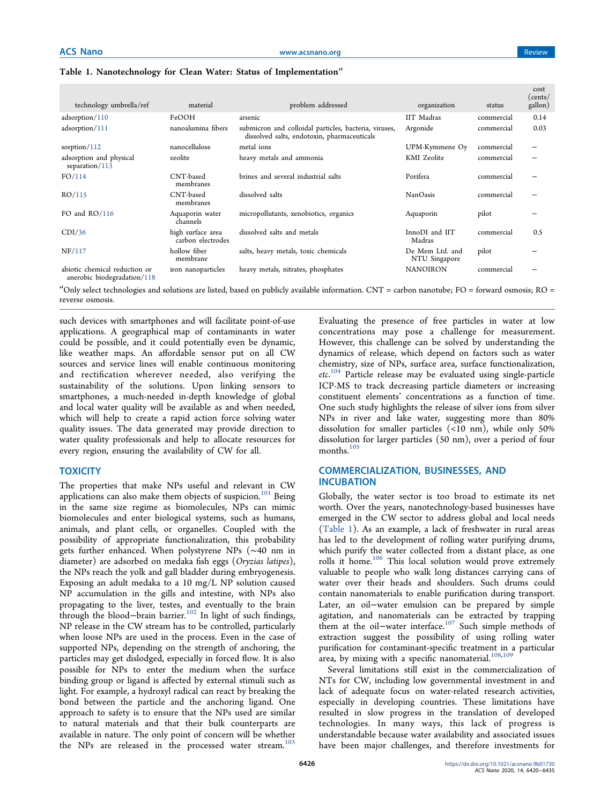|  |  | Table 1. Nanotechnology for Clean Water: Status of Implementation <sup>a</sup> |
|--|--|--------------------------------------------------------------------------------|

| technology umbrella/ref                                      | material                               | problem addressed                                                                                    | organization                     | status     | cost<br>(cents/<br>gallon) |
|--------------------------------------------------------------|----------------------------------------|------------------------------------------------------------------------------------------------------|----------------------------------|------------|----------------------------|
| adsorption/110                                               | FeOOH                                  | arsenic                                                                                              | IIT Madras                       | commercial | 0.14                       |
| adsorption/111                                               | nanoalumina fibers                     | submicron and colloidal particles, bacteria, viruses,<br>dissolved salts, endotoxin, pharmaceuticals | Argonide                         | commercial | 0.03                       |
| sorption/ $112$                                              | nanocellulose                          | metal ions                                                                                           | UPM-Kymmene Oy                   | commercial |                            |
| adsorption and physical<br>separation/113                    | zeolite                                | heavy metals and ammonia                                                                             | KMI Zeolite                      | commercial |                            |
| FO/114                                                       | CNT-based<br>membranes                 | brines and several industrial salts                                                                  | Porifera                         | commercial |                            |
| RO/115                                                       | CNT-based<br>membranes                 | dissolved salts                                                                                      | <b>NanOasis</b>                  | commercial |                            |
| FO and $RO/116$                                              | Aquaporin water<br>channels            | micropollutants, xenobiotics, organics                                                               | Aquaporin                        | pilot      |                            |
| CDI/36                                                       | high surface area<br>carbon electrodes | dissolved salts and metals                                                                           | InnoDI and IIT<br>Madras         | commercial | 0.5                        |
| NF/117                                                       | hollow fiber<br>membrane               | salts, heavy metals, toxic chemicals                                                                 | De Mem Ltd. and<br>NTU Singapore | pilot      |                            |
| abiotic chemical reduction or<br>anerobic biodegradation/118 | iron nanoparticles                     | heavy metals, nitrates, phosphates                                                                   | <b>NANOIRON</b>                  | commercial |                            |

<sup>*a*</sup>Only select technologies and solutions are listed, based on publicly available information. CNT = carbon nanotube; FO = forward osmosis; RO = reverse osmosis.

such devices with smartphones and will facilitate point-of-use applications. A geographical map of contaminants in water could be possible, and it could potentially even be dynamic, like weather maps. An affordable sensor put on all CW sources and service lines will enable continuous monitoring and rectification wherever needed, also verifying the sustainability of the solutions. Upon linking sensors to smartphones, a much-needed in-depth knowledge of global and local water quality will be available as and when needed, which will help to create a rapid action force solving water quality issues. The data generated may provide direction to water quality professionals and help to allocate resources for every region, ensuring the availability of CW for all.

#### **TOXICITY**

The properties that make NPs useful and relevant in CW applications can also make them objects of suspicion.<sup>101</sup> Being in the same size regime as biomolecules, NPs can mimic biomolecules and enter biological systems, such as humans, animals, and plant cells, or organelles. Coupled with the possibility of appropriate functionalization, this probability gets further enhanced. When polystyrene NPs (∼40 nm in diameter) are adsorbed on medaka fish eggs (*Oryzias latipes*), the NPs reach the yolk and gall bladder during embryogenesis. Exposing an adult medaka to a 10 mg/L NP solution caused NP accumulation in the gills and intestine, with NPs also propagating to the liver, testes, and eventually to the brain through the blood−brain barrier.<sup>102</sup> In light of such findings, NP release in the CW stream has to be controlled, particularly when loose NPs are used in the process. Even in the case of supported NPs, depending on the strength of anchoring, the particles may get dislodged, especially in forced flow. It is also possible for NPs to enter the medium when the surface binding group or ligand is affected by external stimuli such as light. For example, a hydroxyl radical can react by breaking the bond between the particle and the anchoring ligand. One approach to safety is to ensure that the NPs used are similar to natural materials and that their bulk counterparts are available in nature. The only point of concern will be whether the NPs are released in the processed water stream.<sup>103</sup>

Evaluating the presence of free particles in water at low concentrations may pose a challenge for measurement. However, this challenge can be solved by understanding the dynamics of release, which depend on factors such as water chemistry, size of NPs, surface area, surface functionalization, *etc*. <sup>104</sup> Particle release may be evaluated using single-particle ICP-MS to track decreasing particle diameters or increasing constituent elements' concentrations as a function of time. One such study highlights the release of silver ions from silver NPs in river and lake water, suggesting more than 80% dissolution for smaller particles (<10 nm), while only 50% dissolution for larger particles (50 nm), over a period of four months.<sup>105</sup>

## COMMERCIALIZATION, BUSINESSES, AND INCUBATION

Globally, the water sector is too broad to estimate its net worth. Over the years, nanotechnology-based businesses have emerged in the CW sector to address global and local needs (Table 1). As an example, a lack of freshwater in rural areas has led to the development of rolling water purifying drums, which purify the water collected from a distant place, as one rolls it home.<sup>106</sup> This local solution would prove extremely valuable to people who walk long distances carrying cans of water over their heads and shoulders. Such drums could contain nanomaterials to enable purification during transport. Later, an oil−water emulsion can be prepared by simple agitation, and nanomaterials can be extracted by trapping them at the oil−water interface.<sup>107</sup> Such simple methods of extraction suggest the possibility of using rolling water purification for contaminant-specific treatment in a particular area, by mixing with a specific nanomaterial.<sup>108,109</sup>

Several limitations still exist in the commercialization of NTs for CW, including low governmental investment in and lack of adequate focus on water-related research activities, especially in developing countries. These limitations have resulted in slow progress in the translation of developed technologies. In many ways, this lack of progress is understandable because water availability and associated issues have been major challenges, and therefore investments for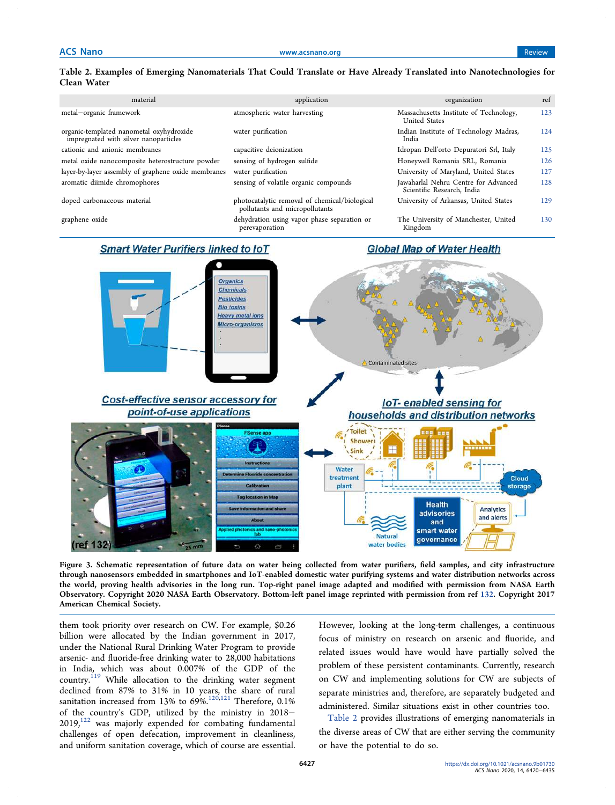# Table 2. Examples of Emerging Nanomaterials That Could Translate or Have Already Translated into Nanotechnologies for Clean Water

| material                                                                          | application                                                                     | organization                                                       | ref |
|-----------------------------------------------------------------------------------|---------------------------------------------------------------------------------|--------------------------------------------------------------------|-----|
| metal-organic framework                                                           | atmospheric water harvesting                                                    | Massachusetts Institute of Technology,<br>United States            | 123 |
| organic-templated nanometal oxyhydroxide<br>impregnated with silver nanoparticles | water purification                                                              | Indian Institute of Technology Madras,<br>India                    | 124 |
| cationic and anionic membranes                                                    | capacitive deionization                                                         | Idropan Dell'orto Depuratori Srl, Italy                            | 125 |
| metal oxide nanocomposite heterostructure powder                                  | sensing of hydrogen sulfide                                                     | Honeywell Romania SRL, Romania                                     | 126 |
| layer-by-layer assembly of graphene oxide membranes                               | water purification                                                              | University of Maryland, United States                              | 127 |
| aromatic diimide chromophores                                                     | sensing of volatile organic compounds                                           | Jawaharlal Nehru Centre for Advanced<br>Scientific Research, India | 128 |
| doped carbonaceous material                                                       | photocatalytic removal of chemical/biological<br>pollutants and micropollutants | University of Arkansas, United States                              | 129 |
| graphene oxide                                                                    | dehydration using vapor phase separation or<br>perevaporation                   | The University of Manchester, United<br>Kingdom                    | 130 |

# **Smart Water Purifiers linked to loT**

## **Global Map of Water Health**



Figure 3. Schematic representation of future data on water being collected from water purifiers, field samples, and city infrastructure through nanosensors embedded in smartphones and IoT-enabled domestic water purifying systems and water distribution networks across the world, proving health advisories in the long run. Top-right panel image adapted and modified with permission from NASA Earth Observatory. Copyright 2020 NASA Earth Observatory. Bottom-left panel image reprinted with permission from ref 132. Copyright 2017 American Chemical Society.

them took priority over research on CW. For example, \$0.26 billion were allocated by the Indian government in 2017, under the National Rural Drinking Water Program to provide arsenic- and fluoride-free drinking water to 28,000 habitations in India, which was about 0.007% of the GDP of the country.<sup>119</sup> While allocation to the drinking water segment declined from 87% to 31% in 10 years, the share of rural sanitation increased from 13% to 69%.<sup>120,121</sup> Therefore, 0.1% of the country's GDP, utilized by the ministry in 2018−  $2019$ , $^{122}$  was majorly expended for combating fundamental challenges of open defecation, improvement in cleanliness, and uniform sanitation coverage, which of course are essential. However, looking at the long-term challenges, a continuous focus of ministry on research on arsenic and fluoride, and related issues would have would have partially solved the problem of these persistent contaminants. Currently, research on CW and implementing solutions for CW are subjects of separate ministries and, therefore, are separately budgeted and administered. Similar situations exist in other countries too.

Table 2 provides illustrations of emerging nanomaterials in the diverse areas of CW that are either serving the community or have the potential to do so.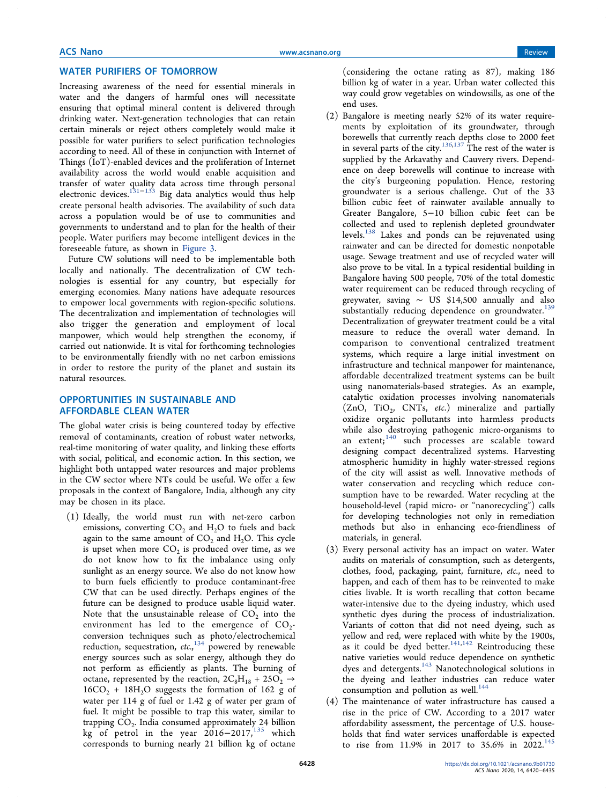## WATER PURIFIERS OF TOMORROW

Increasing awareness of the need for essential minerals in water and the dangers of harmful ones will necessitate ensuring that optimal mineral content is delivered through drinking water. Next-generation technologies that can retain certain minerals or reject others completely would make it possible for water purifiers to select purification technologies according to need. All of these in conjunction with Internet of Things (IoT)-enabled devices and the proliferation of Internet availability across the world would enable acquisition and transfer of water quality data across time through personal electronic devices.<sup>131−133</sup> Big data analytics would thus help create personal health advisories. The availability of such data across a population would be of use to communities and governments to understand and to plan for the health of their people. Water purifiers may become intelligent devices in the foreseeable future, as shown in Figure 3.

Future CW solutions will need to be implementable both locally and nationally. The decentralization of CW technologies is essential for any country, but especially for emerging economies. Many nations have adequate resources to empower local governments with region-specific solutions. The decentralization and implementation of technologies will also trigger the generation and employment of local manpower, which would help strengthen the economy, if carried out nationwide. It is vital for forthcoming technologies to be environmentally friendly with no net carbon emissions in order to restore the purity of the planet and sustain its natural resources.

## OPPORTUNITIES IN SUSTAINABLE AND AFFORDABLE CLEAN WATER

The global water crisis is being countered today by effective removal of contaminants, creation of robust water networks, real-time monitoring of water quality, and linking these efforts with social, political, and economic action. In this section, we highlight both untapped water resources and major problems in the CW sector where NTs could be useful. We offer a few proposals in the context of Bangalore, India, although any city may be chosen in its place.

(1) Ideally, the world must run with net-zero carbon emissions, converting  $CO_2$  and  $H_2O$  to fuels and back again to the same amount of  $CO<sub>2</sub>$  and  $H<sub>2</sub>O$ . This cycle is upset when more  $\mathrm{CO}_2$  is produced over time, as we do not know how to fix the imbalance using only sunlight as an energy source. We also do not know how to burn fuels efficiently to produce contaminant-free CW that can be used directly. Perhaps engines of the future can be designed to produce usable liquid water. Note that the unsustainable release of  $CO<sub>2</sub>$  into the environment has led to the emergence of  $CO_2$ conversion techniques such as photo/electrochemical reduction, sequestration, *etc.*, <sup>134</sup> powered by renewable energy sources such as solar energy, although they do not perform as efficiently as plants. The burning of octane, represented by the reaction,  $2C_8H_{18} + 25O_2 \rightarrow$  $16CO<sub>2</sub> + 18H<sub>2</sub>O$  suggests the formation of 162 g of water per 114 g of fuel or 1.42 g of water per gram of fuel. It might be possible to trap this water, similar to trapping  $CO_2$ . India consumed approximately 24 billion kg of petrol in the year  $2016-2017<sup>135</sup>$  which corresponds to burning nearly 21 billion kg of octane

(considering the octane rating as 87), making 186 billion kg of water in a year. Urban water collected this way could grow vegetables on windowsills, as one of the end uses.

- (2) Bangalore is meeting nearly 52% of its water requirements by exploitation of its groundwater, through borewells that currently reach depths close to 2000 feet in several parts of the city.<sup>136,137</sup> The rest of the water is supplied by the Arkavathy and Cauvery rivers. Dependence on deep borewells will continue to increase with the city's burgeoning population. Hence, restoring groundwater is a serious challenge. Out of the 33 billion cubic feet of rainwater available annually to Greater Bangalore, 5−10 billion cubic feet can be collected and used to replenish depleted groundwater levels.<sup>138</sup> Lakes and ponds can be rejuvenated using rainwater and can be directed for domestic nonpotable usage. Sewage treatment and use of recycled water will also prove to be vital. In a typical residential building in Bangalore having 500 people, 70% of the total domestic water requirement can be reduced through recycling of greywater, saving ∼ US \$14,500 annually and also substantially reducing dependence on groundwater.<sup>139</sup> Decentralization of greywater treatment could be a vital measure to reduce the overall water demand. In comparison to conventional centralized treatment systems, which require a large initial investment on infrastructure and technical manpower for maintenance, affordable decentralized treatment systems can be built using nanomaterials-based strategies. As an example, catalytic oxidation processes involving nanomaterials (ZnO, TiO<sup>2</sup> , CNTs, *etc*.) mineralize and partially oxidize organic pollutants into harmless products while also destroying pathogenic micro-organisms to an extent;<sup>140</sup> such processes are scalable toward designing compact decentralized systems. Harvesting atmospheric humidity in highly water-stressed regions of the city will assist as well. Innovative methods of water conservation and recycling which reduce consumption have to be rewarded. Water recycling at the household-level (rapid micro- or "nanorecycling") calls for developing technologies not only in remediation methods but also in enhancing eco-friendliness of materials, in general.
- (3) Every personal activity has an impact on water. Water audits on materials of consumption, such as detergents, clothes, food, packaging, paint, furniture, *etc.*, need to happen, and each of them has to be reinvented to make cities livable. It is worth recalling that cotton became water-intensive due to the dyeing industry, which used synthetic dyes during the process of industrialization. Variants of cotton that did not need dyeing, such as yellow and red, were replaced with white by the 1900s, as it could be dyed better.<sup>141,142</sup> Reintroducing these native varieties would reduce dependence on synthetic dyes and detergents.<sup>143</sup> Nanotechnological solutions in the dyeing and leather industries can reduce water consumption and pollution as well. $^{144}$
- (4) The maintenance of water infrastructure has caused a rise in the price of CW. According to a 2017 water affordability assessment, the percentage of U.S. households that find water services unaffordable is expected to rise from 11.9% in 2017 to 35.6% in  $2022.^{145}$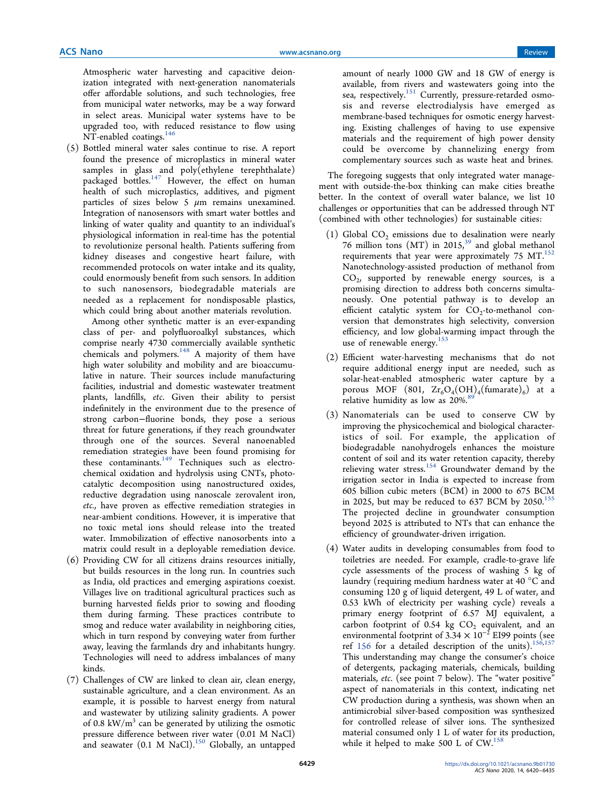Atmospheric water harvesting and capacitive deionization integrated with next-generation nanomaterials offer affordable solutions, and such technologies, free from municipal water networks, may be a way forward in select areas. Municipal water systems have to be upgraded too, with reduced resistance to flow using NT-enabled coatings.<sup>146</sup>

(5) Bottled mineral water sales continue to rise. A report found the presence of microplastics in mineral water samples in glass and poly(ethylene terephthalate) packaged bottles.<sup>147</sup> However, the effect on human health of such microplastics, additives, and pigment particles of sizes below 5  $\mu$ m remains unexamined. Integration of nanosensors with smart water bottles and linking of water quality and quantity to an individual's physiological information in real-time has the potential to revolutionize personal health. Patients suffering from kidney diseases and congestive heart failure, with recommended protocols on water intake and its quality, could enormously benefit from such sensors. In addition to such nanosensors, biodegradable materials are needed as a replacement for nondisposable plastics, which could bring about another materials revolution.

Among other synthetic matter is an ever-expanding class of per- and polyfluoroalkyl substances, which comprise nearly 4730 commercially available synthetic chemicals and polymers.<sup>148</sup> A majority of them have high water solubility and mobility and are bioaccumulative in nature. Their sources include manufacturing facilities, industrial and domestic wastewater treatment plants, landfills, *etc*. Given their ability to persist indefinitely in the environment due to the presence of strong carbon−fluorine bonds, they pose a serious threat for future generations, if they reach groundwater through one of the sources. Several nanoenabled remediation strategies have been found promising for these contaminants.<sup>149</sup> Techniques such as electrochemical oxidation and hydrolysis using CNTs, photocatalytic decomposition using nanostructured oxides, reductive degradation using nanoscale zerovalent iron, *etc.*, have proven as effective remediation strategies in near-ambient conditions. However, it is imperative that no toxic metal ions should release into the treated water. Immobilization of effective nanosorbents into a matrix could result in a deployable remediation device.

- (6) Providing CW for all citizens drains resources initially, but builds resources in the long run. In countries such as India, old practices and emerging aspirations coexist. Villages live on traditional agricultural practices such as burning harvested fields prior to sowing and flooding them during farming. These practices contribute to smog and reduce water availability in neighboring cities, which in turn respond by conveying water from further away, leaving the farmlands dry and inhabitants hungry. Technologies will need to address imbalances of many kinds.
- (7) Challenges of CW are linked to clean air, clean energy, sustainable agriculture, and a clean environment. As an example, it is possible to harvest energy from natural and wastewater by utilizing salinity gradients. A power of 0.8  $\text{kW/m}^3$  can be generated by utilizing the osmotic pressure difference between river water (0.01 M NaCl) and seawater  $(0.1 \text{ M NaCl})$ .<sup>150</sup> Globally, an untapped

amount of nearly 1000 GW and 18 GW of energy is available, from rivers and wastewaters going into the sea, respectively.<sup>151</sup> Currently, pressure-retarded osmosis and reverse electrodialysis have emerged as membrane-based techniques for osmotic energy harvesting. Existing challenges of having to use expensive materials and the requirement of high power density could be overcome by channelizing energy from complementary sources such as waste heat and brines.

The foregoing suggests that only integrated water management with outside-the-box thinking can make cities breathe better. In the context of overall water balance, we list 10 challenges or opportunities that can be addressed through NT (combined with other technologies) for sustainable cities:

- (1) Global  $CO<sub>2</sub>$  emissions due to desalination were nearly 76 million tons (MT) in  $2015$ ,<sup>39</sup> and global methanol requirements that year were approximately 75 MT. $^{152}$ Nanotechnology-assisted production of methanol from  $CO<sub>2</sub>$ , supported by renewable energy sources, is a promising direction to address both concerns simultaneously. One potential pathway is to develop an efficient catalytic system for  $CO_2$ -to-methanol conversion that demonstrates high selectivity, conversion efficiency, and low global-warming impact through the use of renewable energy.<sup>153</sup>
- (2) Efficient water-harvesting mechanisms that do not require additional energy input are needed, such as solar-heat-enabled atmospheric water capture by a porous MOF (801,  $\text{Zr}_6\text{O}_4(\text{OH})_4(\text{fumarate})_6$ ) at a relative humidity as low as 20%.<sup>89</sup>
- (3) Nanomaterials can be used to conserve CW by improving the physicochemical and biological characteristics of soil. For example, the application of biodegradable nanohydrogels enhances the moisture content of soil and its water retention capacity, thereby relieving water stress.<sup>154</sup> Groundwater demand by the irrigation sector in India is expected to increase from 605 billion cubic meters (BCM) in 2000 to 675 BCM in 2025, but may be reduced to 637 BCM by  $2050^{155}$ The projected decline in groundwater consumption beyond 2025 is attributed to NTs that can enhance the efficiency of groundwater-driven irrigation.
- (4) Water audits in developing consumables from food to toiletries are needed. For example, cradle-to-grave life cycle assessments of the process of washing 5 kg of laundry (requiring medium hardness water at 40 °C and consuming 120 g of liquid detergent, 49 L of water, and 0.53 kWh of electricity per washing cycle) reveals a primary energy footprint of 6.57 MJ equivalent, a carbon footprint of 0.54 kg  $CO<sub>2</sub>$  equivalent, and an environmental footprint of  $3.34 \times 10^{-2}$  EI99 points (see ref 156 for a detailed description of the units).<sup>156,157</sup> This understanding may change the consumer's choice of detergents, packaging materials, chemicals, building materials, *etc*. (see point 7 below). The "water positive" aspect of nanomaterials in this context, indicating net CW production during a synthesis, was shown when an antimicrobial silver-based composition was synthesized for controlled release of silver ions. The synthesized material consumed only 1 L of water for its production, while it helped to make 500 L of  $CW$ .<sup>158</sup>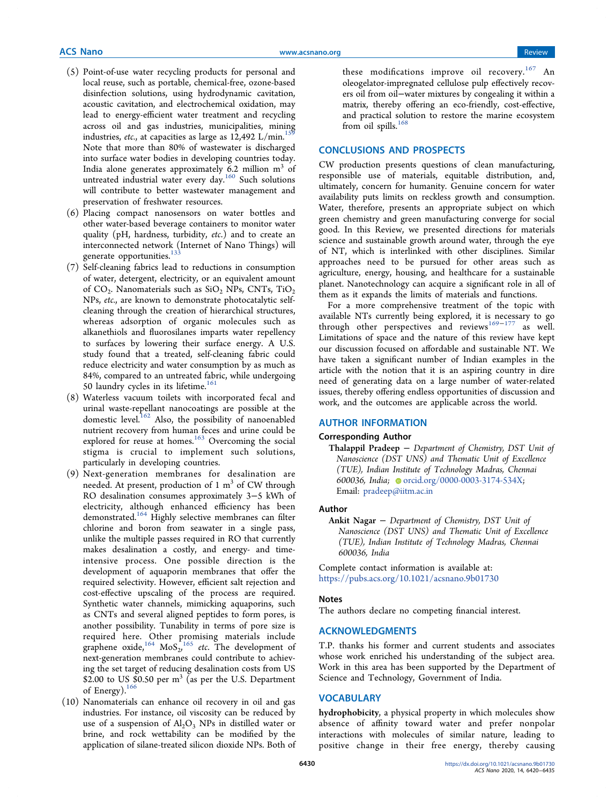- (5) Point-of-use water recycling products for personal and local reuse, such as portable, chemical-free, ozone-based disinfection solutions, using hydrodynamic cavitation, acoustic cavitation, and electrochemical oxidation, may lead to energy-efficient water treatment and recycling across oil and gas industries, municipalities, mining industries, *etc.*, at capacities as large as  $12,492$  L/min.<sup>15</sup> Note that more than 80% of wastewater is discharged into surface water bodies in developing countries today. India alone generates approximately 6.2 million  $\mathrm{m}^{3}$  of untreated industrial water every day.<sup>160</sup> Such solutions will contribute to better wastewater management and preservation of freshwater resources.
- (6) Placing compact nanosensors on water bottles and other water-based beverage containers to monitor water quality (pH, hardness, turbidity, *etc*.) and to create an interconnected network (Internet of Nano Things) will generate opportunities.<sup>133</sup>
- (7) Self-cleaning fabrics lead to reductions in consumption of water, detergent, electricity, or an equivalent amount of  $CO_2$ . Nanomaterials such as  $SiO_2$  NPs, CNTs,  $TiO_2$ NPs, *etc.*, are known to demonstrate photocatalytic selfcleaning through the creation of hierarchical structures, whereas adsorption of organic molecules such as alkanethiols and fluorosilanes imparts water repellency to surfaces by lowering their surface energy. A U.S. study found that a treated, self-cleaning fabric could reduce electricity and water consumption by as much as 84%, compared to an untreated fabric, while undergoing 50 laundry cycles in its lifetime. $161$
- (8) Waterless vacuum toilets with incorporated fecal and urinal waste-repellant nanocoatings are possible at the domestic level.<sup>162</sup> Also, the possibility of nanoenabled nutrient recovery from human feces and urine could be explored for reuse at homes.<sup>163</sup> Overcoming the social stigma is crucial to implement such solutions, particularly in developing countries.
- (9) Next-generation membranes for desalination are needed. At present, production of 1  $\mathrm{m}^{3}$  of CW through RO desalination consumes approximately 3−5 kWh of electricity, although enhanced efficiency has been demonstrated.<sup>164</sup> Highly selective membranes can filter chlorine and boron from seawater in a single pass, unlike the multiple passes required in RO that currently makes desalination a costly, and energy- and timeintensive process. One possible direction is the development of aquaporin membranes that offer the required selectivity. However, efficient salt rejection and cost-effective upscaling of the process are required. Synthetic water channels, mimicking aquaporins, such as CNTs and several aligned peptides to form pores, is another possibility. Tunability in terms of pore size is required here. Other promising materials include graphene oxide,  $^{164}$  MoS<sub>2</sub>,  $^{165}$  *etc*. The development of next-generation membranes could contribute to achieving the set target of reducing desalination costs from US \$2.00 to US  $\$0.50$  per m<sup>3</sup> (as per the U.S. Department of Energy).<sup>166</sup>
- (10) Nanomaterials can enhance oil recovery in oil and gas industries. For instance, oil viscosity can be reduced by use of a suspension of  $Al_2O_3$  NPs in distilled water or brine, and rock wettability can be modified by the application of silane-treated silicon dioxide NPs. Both of

these modifications improve oil recovery.<sup>167</sup> An oleogelator-impregnated cellulose pulp effectively recovers oil from oil−water mixtures by congealing it within a matrix, thereby offering an eco-friendly, cost-effective, and practical solution to restore the marine ecosystem from oil spills. $168$ 

#### CONCLUSIONS AND PROSPECTS

CW production presents questions of clean manufacturing, responsible use of materials, equitable distribution, and, ultimately, concern for humanity. Genuine concern for water availability puts limits on reckless growth and consumption. Water, therefore, presents an appropriate subject on which green chemistry and green manufacturing converge for social good. In this Review, we presented directions for materials science and sustainable growth around water, through the eye of NT, which is interlinked with other disciplines. Similar approaches need to be pursued for other areas such as agriculture, energy, housing, and healthcare for a sustainable planet. Nanotechnology can acquire a significant role in all of them as it expands the limits of materials and functions.

For a more comprehensive treatment of the topic with available NTs currently being explored, it is necessary to go through other perspectives and reviews<sup>169−177</sup> as well. Limitations of space and the nature of this review have kept our discussion focused on affordable and sustainable NT. We have taken a significant number of Indian examples in the article with the notion that it is an aspiring country in dire need of generating data on a large number of water-related issues, thereby offering endless opportunities of discussion and work, and the outcomes are applicable across the world.

#### AUTHOR INFORMATION

#### Corresponding Author

Thalappil Pradeep − Department of Chemistry, DST Unit of Nanoscience (DST UNS) and Thematic Unit of Excellence (TUE), Indian Institute of Technology Madras, Chennai 600036, India; orcid.org/0000-0003-3174-534X; Email: pradeep@iitm.ac.in

#### Author

Ankit Nagar − Department of Chemistry, DST Unit of Nanoscience (DST UNS) and Thematic Unit of Excellence (TUE), Indian Institute of Technology Madras, Chennai 600036, India

Complete contact information is available at: https://pubs.acs.org/10.1021/acsnano.9b01730

#### Notes

The authors declare no competing financial interest.

## ACKNOWLEDGMENTS

T.P. thanks his former and current students and associates whose work enriched his understanding of the subject area. Work in this area has been supported by the Department of Science and Technology, Government of India.

## **VOCABULARY**

hydrophobicity, a physical property in which molecules show absence of affinity toward water and prefer nonpolar interactions with molecules of similar nature, leading to positive change in their free energy, thereby causing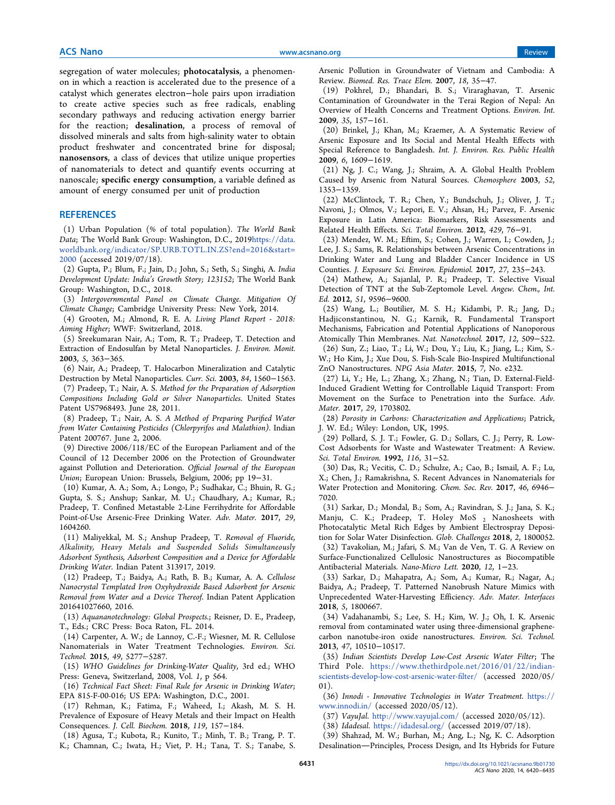segregation of water molecules; photocatalysis, a phenomenon in which a reaction is accelerated due to the presence of a catalyst which generates electron−hole pairs upon irradiation to create active species such as free radicals, enabling secondary pathways and reducing activation energy barrier for the reaction; desalination, a process of removal of dissolved minerals and salts from high-salinity water to obtain product freshwater and concentrated brine for disposal; nanosensors, a class of devices that utilize unique properties of nanomaterials to detect and quantify events occurring at nanoscale; specific energy consumption, a variable defined as amount of energy consumed per unit of production

#### **REFERENCES**

(1) Urban Population (% of total population). *The World Bank Data*; The World Bank Group: Washington, D.C., 2019https://data. worldbank.org/indicator/SP.URB.TOTL.IN.ZS?end=2016&start= 2000 (accessed 2019/07/18).

(2) Gupta, P.; Blum, F.; Jain, D.; John, S.; Seth, S.; Singhi, A. *India Development Update: India*'*s Growth Story; 123152*; The World Bank Group: Washington, D.C., 2018.

(3) *Intergovernmental Panel on Climate Change. Mitigation Of Climate Change*; Cambridge University Press: New York, 2014.

(4) Grooten, M.; Almond, R. E. A. *Living Planet Report - 2018: Aiming Higher*; WWF: Switzerland, 2018.

(5) Sreekumaran Nair, A.; Tom, R. T.; Pradeep, T. Detection and Extraction of Endosulfan by Metal Nanoparticles. *J. Environ. Monit.* 2003, *5*, 363−365.

(6) Nair, A.; Pradeep, T. Halocarbon Mineralization and Catalytic Destruction by Metal Nanoparticles. *Curr. Sci.* 2003, *84*, 1560−1563.

(7) Pradeep, T.; Nair, A. S. *Method for the Preparation of Adsorption Compositions Including Gold or Silver Nanoparticles*. United States Patent US7968493. June 28, 2011.

(8) Pradeep, T.; Nair, A. S. *A Method of Preparing Puri*fi*ed Water from Water Containing Pesticides (Chlorpyrifos and Malathion)*. Indian Patent 200767. June 2, 2006.

(9) Directive 2006/118/EC of the European Parliament and of the Council of 12 December 2006 on the Protection of Groundwater against Pollution and Deterioration. *O*ffi*cial Journal of the European Union*; European Union: Brussels, Belgium, 2006; pp 19−31.

(10) Kumar, A. A.; Som, A.; Longo, P.; Sudhakar, C.; Bhuin, R. G.; Gupta, S. S.; Anshup; Sankar, M. U.; Chaudhary, A.; Kumar, R.; Pradeep, T. Confined Metastable 2-Line Ferrihydrite for Affordable Point-of-Use Arsenic-Free Drinking Water. *Adv. Mater.* 2017, *29*, 1604260.

(11) Maliyekkal, M. S.; Anshup Pradeep, T. *Removal of Fluoride, Alkalinity, Heavy Metals and Suspended Solids Simultaneously Adsorbent Synthesis, Adsorbent Composition and a Device for A*ff*ordable Drinking Water*. Indian Patent 313917, 2019.

(12) Pradeep, T.; Baidya, A.; Rath, B. B.; Kumar, A. A. *Cellulose Nanocrystal Templated Iron Oxyhydroxide Based Adsorbent for Arsenic Removal from Water and a Device Thereof*. Indian Patent Application 201641027660, 2016.

(13) *Aquananotechnology: Global Prospects.*; Reisner, D. E., Pradeep, T., Eds.; CRC Press: Boca Raton, FL. 2014.

(14) Carpenter, A. W.; de Lannoy, C.-F.; Wiesner, M. R. Cellulose Nanomaterials in Water Treatment Technologies. *Environ. Sci. Technol.* 2015, *49*, 5277−5287.

(15) *WHO Guidelines for Drinking-Water Quality*, 3rd ed.; WHO Press: Geneva, Switzerland, 2008, Vol. *1*, p 564.

(16) *Technical Fact Sheet: Final Rule for Arsenic in Drinking Water*; EPA 815-F-00-016; US EPA: Washington, D.C., 2001.

(17) Rehman, K.; Fatima, F.; Waheed, I.; Akash, M. S. H. Prevalence of Exposure of Heavy Metals and their Impact on Health Consequences. *J. Cell. Biochem.* 2018, *119*, 157−184.

(18) Agusa, T.; Kubota, R.; Kunito, T.; Minh, T. B.; Trang, P. T. K.; Chamnan, C.; Iwata, H.; Viet, P. H.; Tana, T. S.; Tanabe, S. Arsenic Pollution in Groundwater of Vietnam and Cambodia: A Review. *Biomed. Res. Trace Elem.* 2007, *18*, 35−47.

(19) Pokhrel, D.; Bhandari, B. S.; Viraraghavan, T. Arsenic Contamination of Groundwater in the Terai Region of Nepal: An Overview of Health Concerns and Treatment Options. *Environ. Int.* 2009, *35*, 157−161.

(20) Brinkel, J.; Khan, M.; Kraemer, A. A Systematic Review of Arsenic Exposure and Its Social and Mental Health Effects with Special Reference to Bangladesh. *Int. J. Environ. Res. Public Health* 2009, *6*, 1609−1619.

(21) Ng, J. C.; Wang, J.; Shraim, A. A. Global Health Problem Caused by Arsenic from Natural Sources. *Chemosphere* 2003, *52*, 1353−1359.

(22) McClintock, T. R.; Chen, Y.; Bundschuh, J.; Oliver, J. T.; Navoni, J.; Olmos, V.; Lepori, E. V.; Ahsan, H.; Parvez, F. Arsenic Exposure in Latin America: Biomarkers, Risk Assessments and Related Health Effects. *Sci. Total Environ.* 2012, *429*, 76−91.

(23) Mendez, W. M.; Eftim, S.; Cohen, J.; Warren, I.; Cowden, J.; Lee, J. S.; Sams, R. Relationships between Arsenic Concentrations in Drinking Water and Lung and Bladder Cancer Incidence in US Counties. *J. Exposure Sci. Environ. Epidemiol.* 2017, *27*, 235−243.

(24) Mathew, A.; Sajanlal, P. R.; Pradeep, T. Selective Visual Detection of TNT at the Sub-Zeptomole Level. *Angew. Chem., Int. Ed.* 2012, *51*, 9596−9600.

(25) Wang, L.; Boutilier, M. S. H.; Kidambi, P. R.; Jang, D.; Hadjiconstantinou, N. G.; Karnik, R. Fundamental Transport Mechanisms, Fabrication and Potential Applications of Nanoporous Atomically Thin Membranes. *Nat. Nanotechnol.* 2017, *12*, 509−522. (26) Sun, Z.; Liao, T.; Li, W.; Dou, Y.; Liu, K.; Jiang, L.; Kim, S.- W.; Ho Kim, J.; Xue Dou, S. Fish-Scale Bio-Inspired Multifunctional

ZnO Nanostructures. *NPG Asia Mater.* 2015, *7*, No. e232. (27) Li, Y.; He, L.; Zhang, X.; Zhang, N.; Tian, D. External-Field-Induced Gradient Wetting for Controllable Liquid Transport: From Movement on the Surface to Penetration into the Surface. *Adv. Mater.* 2017, *29*, 1703802.

(28) *Porosity in Carbons: Characterization and Applications*; Patrick, J. W. Ed.; Wiley: London, UK, 1995.

(29) Pollard, S. J. T.; Fowler, G. D.; Sollars, C. J.; Perry, R. Low-Cost Adsorbents for Waste and Wastewater Treatment: A Review. *Sci. Total Environ.* 1992, *116*, 31−52.

(30) Das, R.; Vecitis, C. D.; Schulze, A.; Cao, B.; Ismail, A. F.; Lu, X.; Chen, J.; Ramakrishna, S. Recent Advances in Nanomaterials for Water Protection and Monitoring. *Chem. Soc. Rev.* 2017, *46*, 6946− 7020.

(31) Sarkar, D.; Mondal, B.; Som, A.; Ravindran, S. J.; Jana, S. K.; Manju, C. K.; Pradeep, T. Holey MoS  $_2$  Nanosheets with Photocatalytic Metal Rich Edges by Ambient Electrospray Deposition for Solar Water Disinfection. *Glob. Challenges* 2018, *2*, 1800052.

(32) Tavakolian, M.; Jafari, S. M.; Van de Ven, T. G. A Review on Surface-Functionalized Cellulosic Nanostructures as Biocompatible Antibacterial Materials. *Nano-Micro Lett.* 2020, *12*, 1−23.

(33) Sarkar, D.; Mahapatra, A.; Som, A.; Kumar, R.; Nagar, A.; Baidya, A.; Pradeep, T. Patterned Nanobrush Nature Mimics with Unprecedented Water-Harvesting Efficiency. *Adv. Mater. Interfaces* 2018, *5*, 1800667.

(34) Vadahanambi, S.; Lee, S. H.; Kim, W. J.; Oh, I. K. Arsenic removal from contaminated water using three-dimensional graphenecarbon nanotube-iron oxide nanostructures. *Environ. Sci. Technol.* 2013, *47*, 10510−10517.

(35) *Indian Scientists Develop Low-Cost Arsenic Water Filter*; The Third Pole. https://www.thethirdpole.net/2016/01/22/indianscientists-develop-low-cost-arsenic-water-filter/ (accessed 2020/05/ 01).

(36) *Innodi - Innovative Technologies in Water Treatment*. https:// www.innodi.in/ (accessed 2020/05/12).

(37) *VayuJal*. http://www.vayujal.com/ (accessed 2020/05/12).

(38) *Idadesal*. https://idadesal.org/ (accessed 2019/07/18).

(39) Shahzad, M. W.; Burhan, M.; Ang, L.; Ng, K. C. Adsorption Desalination-Principles, Process Design, and Its Hybrids for Future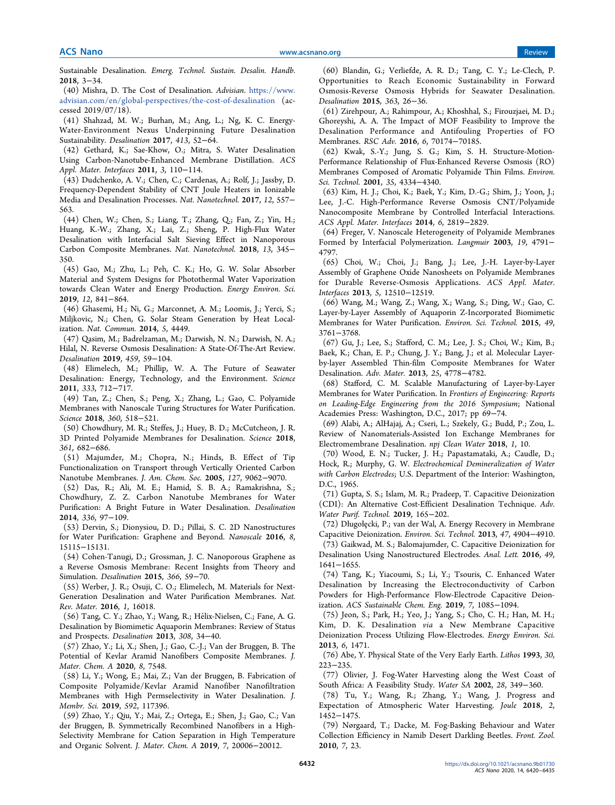Sustainable Desalination. *Emerg. Technol. Sustain. Desalin. Handb.* 2018, 3−34.

(40) Mishra, D. The Cost of Desalination. *Advisian*. https://www. advisian.com/en/global-perspectives/the-cost-of-desalination (accessed 2019/07/18).

(41) Shahzad, M. W.; Burhan, M.; Ang, L.; Ng, K. C. Energy-Water-Environment Nexus Underpinning Future Desalination Sustainability. *Desalination* 2017, *413*, 52−64.

(42) Gethard, K.; Sae-Khow, O.; Mitra, S. Water Desalination Using Carbon-Nanotube-Enhanced Membrane Distillation. *ACS Appl. Mater. Interfaces* 2011, *3*, 110−114.

(43) Dudchenko, A. V.; Chen, C.; Cardenas, A.; Rolf, J.; Jassby, D. Frequency-Dependent Stability of CNT Joule Heaters in Ionizable Media and Desalination Processes. *Nat. Nanotechnol.* 2017, *12*, 557− 563.

(44) Chen, W.; Chen, S.; Liang, T.; Zhang, Q.; Fan, Z.; Yin, H.; Huang, K.-W.; Zhang, X.; Lai, Z.; Sheng, P. High-Flux Water Desalination with Interfacial Salt Sieving Effect in Nanoporous Carbon Composite Membranes. *Nat. Nanotechnol.* 2018, *13*, 345− 350.

(45) Gao, M.; Zhu, L.; Peh, C. K.; Ho, G. W. Solar Absorber Material and System Designs for Photothermal Water Vaporization towards Clean Water and Energy Production. *Energy Environ. Sci.* 2019, *12*, 841−864.

(46) Ghasemi, H.; Ni, G.; Marconnet, A. M.; Loomis, J.; Yerci, S.; Miljkovic, N.; Chen, G. Solar Steam Generation by Heat Localization. *Nat. Commun.* 2014, *5*, 4449.

(47) Qasim, M.; Badrelzaman, M.; Darwish, N. N.; Darwish, N. A.; Hilal, N. Reverse Osmosis Desalination: A State-Of-The-Art Review. *Desalination* 2019, *459*, 59−104.

(48) Elimelech, M.; Phillip, W. A. The Future of Seawater Desalination: Energy, Technology, and the Environment. *Science* 2011, *333*, 712−717.

(49) Tan, Z.; Chen, S.; Peng, X.; Zhang, L.; Gao, C. Polyamide Membranes with Nanoscale Turing Structures for Water Purification. *Science* 2018, *360*, 518−521.

(50) Chowdhury, M. R.; Steffes, J.; Huey, B. D.; McCutcheon, J. R. 3D Printed Polyamide Membranes for Desalination. *Science* 2018, *361*, 682−686.

(51) Majumder, M.; Chopra, N.; Hinds, B. Effect of Tip Functionalization on Transport through Vertically Oriented Carbon Nanotube Membranes. *J. Am. Chem. Soc.* 2005, *127*, 9062−9070.

(52) Das, R.; Ali, M. E.; Hamid, S. B. A.; Ramakrishna, S.; Chowdhury, Z. Z. Carbon Nanotube Membranes for Water Purification: A Bright Future in Water Desalination. *Desalination* 2014, *336*, 97−109.

(53) Dervin, S.; Dionysiou, D. D.; Pillai, S. C. 2D Nanostructures for Water Purification: Graphene and Beyond. *Nanoscale* 2016, *8*, 15115−15131.

(54) Cohen-Tanugi, D.; Grossman, J. C. Nanoporous Graphene as a Reverse Osmosis Membrane: Recent Insights from Theory and Simulation. *Desalination* 2015, *366*, 59−70.

(55) Werber, J. R.; Osuji, C. O.; Elimelech, M. Materials for Next-Generation Desalination and Water Purification Membranes. *Nat. Rev. Mater.* 2016, *1*, 16018.

(56) Tang, C. Y.; Zhao, Y.; Wang, R.; Helix-Nielsen, C.; Fane, A. G. ́ Desalination by Biomimetic Aquaporin Membranes: Review of Status and Prospects. *Desalination* 2013, *308*, 34−40.

(57) Zhao, Y.; Li, X.; Shen, J.; Gao, C.-J.; Van der Bruggen, B. The Potential of Kevlar Aramid Nanofibers Composite Membranes. *J. Mater. Chem. A* 2020, *8*, 7548.

(58) Li, Y.; Wong, E.; Mai, Z.; Van der Bruggen, B. Fabrication of Composite Polyamide/Kevlar Aramid Nanofiber Nanofiltration Membranes with High Permselectivity in Water Desalination. *J. Membr. Sci.* 2019, *592*, 117396.

(59) Zhao, Y.; Qiu, Y.; Mai, Z.; Ortega, E.; Shen, J.; Gao, C.; Van der Bruggen, B. Symmetrically Recombined Nanofibers in a High-Selectivity Membrane for Cation Separation in High Temperature and Organic Solvent. *J. Mater. Chem. A* 2019, *7*, 20006−20012.

(60) Blandin, G.; Verliefde, A. R. D.; Tang, C. Y.; Le-Clech, P. Opportunities to Reach Economic Sustainability in Forward Osmosis-Reverse Osmosis Hybrids for Seawater Desalination. *Desalination* 2015, *363*, 26−36.

(61) Zirehpour, A.; Rahimpour, A.; Khoshhal, S.; Firouzjaei, M. D.; Ghoreyshi, A. A. The Impact of MOF Feasibility to Improve the Desalination Performance and Antifouling Properties of FO Membranes. *RSC Adv.* 2016, *6*, 70174−70185.

(62) Kwak, S.-Y.; Jung, S. G.; Kim, S. H. Structure-Motion-Performance Relationship of Flux-Enhanced Reverse Osmosis (RO) Membranes Composed of Aromatic Polyamide Thin Films. *Environ. Sci. Technol.* 2001, *35*, 4334−4340.

(63) Kim, H. J.; Choi, K.; Baek, Y.; Kim, D.-G.; Shim, J.; Yoon, J.; Lee, J.-C. High-Performance Reverse Osmosis CNT/Polyamide Nanocomposite Membrane by Controlled Interfacial Interactions. *ACS Appl. Mater. Interfaces* 2014, *6*, 2819−2829.

(64) Freger, V. Nanoscale Heterogeneity of Polyamide Membranes Formed by Interfacial Polymerization. *Langmuir* 2003, *19*, 4791− 4797.

(65) Choi, W.; Choi, J.; Bang, J.; Lee, J.-H. Layer-by-Layer Assembly of Graphene Oxide Nanosheets on Polyamide Membranes for Durable Reverse-Osmosis Applications. *ACS Appl. Mater. Interfaces* 2013, *5*, 12510−12519.

(66) Wang, M.; Wang, Z.; Wang, X.; Wang, S.; Ding, W.; Gao, C. Layer-by-Layer Assembly of Aquaporin Z-Incorporated Biomimetic Membranes for Water Purification. *Environ. Sci. Technol.* 2015, *49*, 3761−3768.

(67) Gu, J.; Lee, S.; Stafford, C. M.; Lee, J. S.; Choi, W.; Kim, B.; Baek, K.; Chan, E. P.; Chung, J. Y.; Bang, J.; et al. Molecular Layerby-layer Assembled Thin-film Composite Membranes for Water Desalination. *Adv. Mater.* 2013, *25*, 4778−4782.

(68) Stafford, C. M. Scalable Manufacturing of Layer-by-Layer Membranes for Water Purification. In *Frontiers of Engineering: Reports on Leading-Edge Engineering from the 2016 Symposium*; National Academies Press: Washington, D.C., 2017; pp 69−74.

(69) Alabi, A.; AlHajaj, A.; Cseri, L.; Szekely, G.; Budd, P.; Zou, L. Review of Nanomaterials-Assisted Ion Exchange Membranes for Electromembrane Desalination. *npj Clean Water* 2018, *1*, 10.

(70) Wood, E. N.; Tucker, J. H.; Papastamataki, A.; Caudle, D.; Hock, R.; Murphy, G. W. *Electrochemical Demineralization of Water with Carbon Electrodes*; U.S. Department of the Interior: Washington, D.C., 1965.

(71) Gupta, S. S.; Islam, M. R.; Pradeep, T. Capacitive Deionization (CDI): An Alternative Cost-Efficient Desalination Technique. *Adv. Water Purif. Technol.* 2019, 165−202.

(72) Długołecki, P.; van der Wal, A. Energy Recovery in Membrane ̧ Capacitive Deionization. *Environ. Sci. Technol.* 2013, *47*, 4904−4910.

(73) Gaikwad, M. S.; Balomajumder, C. Capacitive Deionization for Desalination Using Nanostructured Electrodes. *Anal. Lett.* 2016, *49*, 1641−1655.

(74) Tang, K.; Yiacoumi, S.; Li, Y.; Tsouris, C. Enhanced Water Desalination by Increasing the Electroconductivity of Carbon Powders for High-Performance Flow-Electrode Capacitive Deionization. *ACS Sustainable Chem. Eng.* 2019, *7*, 1085−1094.

(75) Jeon, S.; Park, H.; Yeo, J.; Yang, S.; Cho, C. H.; Han, M. H.; Kim, D. K. Desalination *via* a New Membrane Capacitive Deionization Process Utilizing Flow-Electrodes. *Energy Environ. Sci.* 2013, *6*, 1471.

(76) Abe, Y. Physical State of the Very Early Earth. *Lithos* 1993, *30*, 223−235.

(77) Olivier, J. Fog-Water Harvesting along the West Coast of South Africa: A Feasibility Study. *Water SA* 2002, *28*, 349−360.

(78) Tu, Y.; Wang, R.; Zhang, Y.; Wang, J. Progress and Expectation of Atmospheric Water Harvesting. *Joule* 2018, *2*, 1452−1475.

(79) Nørgaard, T.; Dacke, M. Fog-Basking Behaviour and Water Collection Efficiency in Namib Desert Darkling Beetles. *Front. Zool.* 2010, *7*, 23.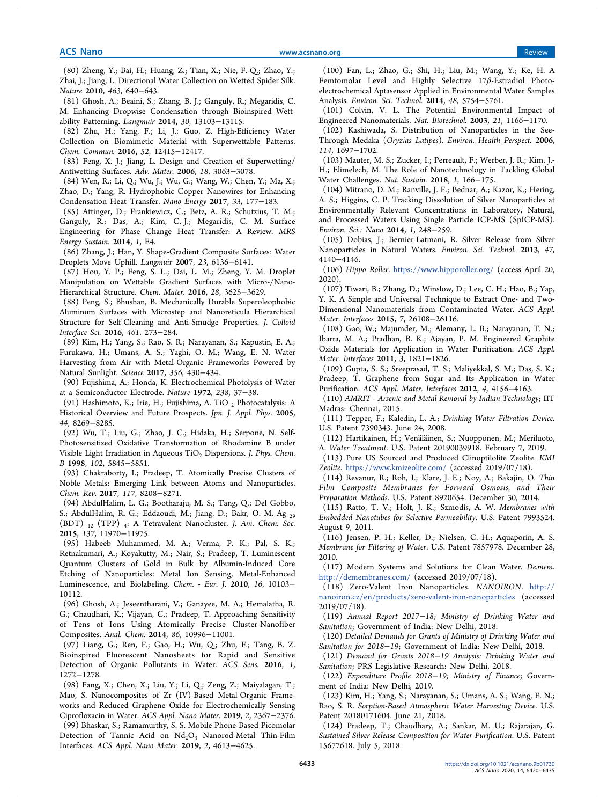(80) Zheng, Y.; Bai, H.; Huang, Z.; Tian, X.; Nie, F.-Q.; Zhao, Y.; Zhai, J.; Jiang, L. Directional Water Collection on Wetted Spider Silk. *Nature* 2010, *463*, 640−643.

(81) Ghosh, A.; Beaini, S.; Zhang, B. J.; Ganguly, R.; Megaridis, C. M. Enhancing Dropwise Condensation through Bioinspired Wettability Patterning. *Langmuir* 2014, *30*, 13103−13115.

(82) Zhu, H.; Yang, F.; Li, J.; Guo, Z. High-Efficiency Water Collection on Biomimetic Material with Superwettable Patterns. *Chem. Commun.* 2016, *52*, 12415−12417.

(83) Feng, X. J.; Jiang, L. Design and Creation of Superwetting/ Antiwetting Surfaces. *Adv. Mater.* 2006, *18*, 3063−3078.

(84) Wen, R.; Li, Q.; Wu, J.; Wu, G.; Wang, W.; Chen, Y.; Ma, X.; Zhao, D.; Yang, R. Hydrophobic Copper Nanowires for Enhancing Condensation Heat Transfer. *Nano Energy* 2017, *33*, 177−183.

(85) Attinger, D.; Frankiewicz, C.; Betz, A. R.; Schutzius, T. M.; Ganguly, R.; Das, A.; Kim, C.-J.; Megaridis, C. M. Surface Engineering for Phase Change Heat Transfer: A Review. *MRS Energy Sustain.* 2014, *1*, E4.

(86) Zhang, J.; Han, Y. Shape-Gradient Composite Surfaces: Water Droplets Move Uphill. *Langmuir* 2007, *23*, 6136−6141.

(87) Hou, Y. P.; Feng, S. L.; Dai, L. M.; Zheng, Y. M. Droplet Manipulation on Wettable Gradient Surfaces with Micro-/Nano-Hierarchical Structure. *Chem. Mater.* 2016, *28*, 3625−3629.

(88) Peng, S.; Bhushan, B. Mechanically Durable Superoleophobic Aluminum Surfaces with Microstep and Nanoreticula Hierarchical Structure for Self-Cleaning and Anti-Smudge Properties. *J. Colloid Interface Sci.* 2016, *461*, 273−284.

(89) Kim, H.; Yang, S.; Rao, S. R.; Narayanan, S.; Kapustin, E. A.; Furukawa, H.; Umans, A. S.; Yaghi, O. M.; Wang, E. N. Water Harvesting from Air with Metal-Organic Frameworks Powered by Natural Sunlight. *Science* 2017, *356*, 430−434.

(90) Fujishima, A.; Honda, K. Electrochemical Photolysis of Water at a Semiconductor Electrode. *Nature* 1972, *238*, 37−38.

(91) Hashimoto, K.; Irie, H.; Fujishima, A. TiO 2 Photocatalysis: A Historical Overview and Future Prospects. *Jpn. J. Appl. Phys.* 2005, *44*, 8269−8285.

(92) Wu, T.; Liu, G.; Zhao, J. C.; Hidaka, H.; Serpone, N. Self-Photosensitized Oxidative Transformation of Rhodamine B under Visible Light Irradiation in Aqueous TiO<sub>2</sub> Dispersions. *J. Phys. Chem. B* 1998, *102*, 5845−5851.

(93) Chakraborty, I.; Pradeep, T. Atomically Precise Clusters of Noble Metals: Emerging Link between Atoms and Nanoparticles. *Chem. Rev.* 2017, *117*, 8208−8271.

(94) AbdulHalim, L. G.; Bootharaju, M. S.; Tang, Q.; Del Gobbo, S.; AbdulHalim, R. G.; Eddaoudi, M.; Jiang, D.; Bakr, O. M. Ag <sup>29</sup> (BDT) <sup>12</sup> (TPP) <sup>4</sup> : A Tetravalent Nanocluster. *J. Am. Chem. Soc.* 2015, *137*, 11970−11975.

(95) Habeeb Muhammed, M. A.; Verma, P. K.; Pal, S. K.; Retnakumari, A.; Koyakutty, M.; Nair, S.; Pradeep, T. Luminescent Quantum Clusters of Gold in Bulk by Albumin-Induced Core Etching of Nanoparticles: Metal Ion Sensing, Metal-Enhanced Luminescence, and Biolabeling. *Chem. - Eur. J.* 2010, *16*, 10103− 10112.

(96) Ghosh, A.; Jeseentharani, V.; Ganayee, M. A.; Hemalatha, R. G.; Chaudhari, K.; Vijayan, C.; Pradeep, T. Approaching Sensitivity of Tens of Ions Using Atomically Precise Cluster-Nanofiber Composites. *Anal. Chem.* 2014, *86*, 10996−11001.

(97) Liang, G.; Ren, F.; Gao, H.; Wu, Q.; Zhu, F.; Tang, B. Z. Bioinspired Fluorescent Nanosheets for Rapid and Sensitive Detection of Organic Pollutants in Water. *ACS Sens.* 2016, *1*, 1272−1278.

(98) Fang, X.; Chen, X.; Liu, Y.; Li, Q.; Zeng, Z.; Maiyalagan, T.; Mao, S. Nanocomposites of Zr (IV)-Based Metal-Organic Frameworks and Reduced Graphene Oxide for Electrochemically Sensing Ciprofloxacin in Water. *ACS Appl. Nano Mater.* 2019, *2*, 2367−2376.

(99) Bhaskar, S.; Ramamurthy, S. S. Mobile Phone-Based Picomolar Detection of Tannic Acid on  $Nd_2O_3$  Nanorod-Metal Thin-Film Interfaces. *ACS Appl. Nano Mater.* 2019, *2*, 4613−4625.

(100) Fan, L.; Zhao, G.; Shi, H.; Liu, M.; Wang, Y.; Ke, H. A Femtomolar Level and Highly Selective 17β-Estradiol Photoelectrochemical Aptasensor Applied in Environmental Water Samples Analysis. *Environ. Sci. Technol.* 2014, *48*, 5754−5761.

(101) Colvin, V. L. The Potential Environmental Impact of Engineered Nanomaterials. *Nat. Biotechnol.* 2003, *21*, 1166−1170.

(102) Kashiwada, S. Distribution of Nanoparticles in the See-Through Medaka (*Oryzias Latipes*). *Environ. Health Perspect.* 2006, *114*, 1697−1702.

(103) Mauter, M. S.; Zucker, I.; Perreault, F.; Werber, J. R.; Kim, J.- H.; Elimelech, M. The Role of Nanotechnology in Tackling Global Water Challenges. *Nat. Sustain.* 2018, *1*, 166−175.

(104) Mitrano, D. M.; Ranville, J. F.; Bednar, A.; Kazor, K.; Hering, A. S.; Higgins, C. P. Tracking Dissolution of Silver Nanoparticles at Environmentally Relevant Concentrations in Laboratory, Natural, and Processed Waters Using Single Particle ICP-MS (SpICP-MS). *Environ. Sci.: Nano* 2014, *1*, 248−259.

(105) Dobias, J.; Bernier-Latmani, R. Silver Release from Silver Nanoparticles in Natural Waters. *Environ. Sci. Technol.* 2013, *47*, 4140−4146.

(106) *Hippo Roller*. https://www.hipporoller.org/ (access April 20, 2020).

(107) Tiwari, B.; Zhang, D.; Winslow, D.; Lee, C. H.; Hao, B.; Yap, Y. K. A Simple and Universal Technique to Extract One- and Two-Dimensional Nanomaterials from Contaminated Water. *ACS Appl. Mater. Interfaces* 2015, *7*, 26108−26116.

(108) Gao, W.; Majumder, M.; Alemany, L. B.; Narayanan, T. N.; Ibarra, M. A.; Pradhan, B. K.; Ajayan, P. M. Engineered Graphite Oxide Materials for Application in Water Purification. *ACS Appl. Mater. Interfaces* 2011, *3*, 1821−1826.

(109) Gupta, S. S.; Sreeprasad, T. S.; Maliyekkal, S. M.; Das, S. K.; Pradeep, T. Graphene from Sugar and Its Application in Water Purification. *ACS Appl. Mater. Interfaces* 2012, *4*, 4156−4163.

(110) *AMRIT - Arsenic and Metal Removal by Indian Technology*; IIT Madras: Chennai, 2015.

(111) Tepper, F.; Kaledin, L. A.; *Drinking Water Filtration Device*. U.S. Patent 7390343. June 24, 2008.

(112) Hartikainen, H.; Venäläinen, S.; Nuopponen, M.; Meriluoto, A. *Water Treatment*. U.S. Patent 20190039918. February 7, 2019.

(113) Pure US Sourced and Produced Clinoptilolite Zeolite. *KMI Zeolite*. https://www.kmizeolite.com/ (accessed 2019/07/18).

(114) Revanur, R.; Roh, I.; Klare, J. E.; Noy, A.; Bakajin, O. *Thin Film Composite Membranes for Forward Osmosis, and Their Preparation Methods*. U.S. Patent 8920654. December 30, 2014.

(115) Ratto, T. V.; Holt, J. K.; Szmodis, A. W. *Membranes with Embedded Nanotubes for Selective Permeability*. U.S. Patent 7993524. August 9, 2011.

(116) Jensen, P. H.; Keller, D.; Nielsen, C. H.; Aquaporin, A. S. *Membrane for Filtering of Water*. U.S. Patent 7857978. December 28, 2010.

(117) Modern Systems and Solutions for Clean Water. *De.mem*. http://demembranes.com/ (accessed 2019/07/18).

(118) Zero-Valent Iron Nanoparticles. *NANOIRON*. http:// nanoiron.cz/en/products/zero-valent-iron-nanoparticles (accessed 2019/07/18).

(119) *Annual Report 2017*−*18; Ministry of Drinking Water and Sanitation*; Government of India: New Delhi, 2018.

(120) *Detailed Demands for Grants of Ministry of Drinking Water and Sanitation for 2018*−*19*; Government of India: New Delhi, 2018.

(121) *Demand for Grants 2018*−*19 Analysis: Drinking Water and Sanitation*; PRS Legislative Research: New Delhi, 2018.

(122) *Expenditure Pro*fi*le 2018*−*19; Ministry of Finance*; Government of India: New Delhi, 2019.

(123) Kim, H.; Yang, S.; Narayanan, S.; Umans, A. S.; Wang, E. N.; Rao, S. R. *Sorption-Based Atmospheric Water Harvesting Device*. U.S. Patent 20180171604. June 21, 2018.

(124) Pradeep, T.; Chaudhary, A.; Sankar, M. U.; Rajarajan, G. *Sustained Silver Release Composition for Water Puri*fi*cation*. U.S. Patent 15677618. July 5, 2018.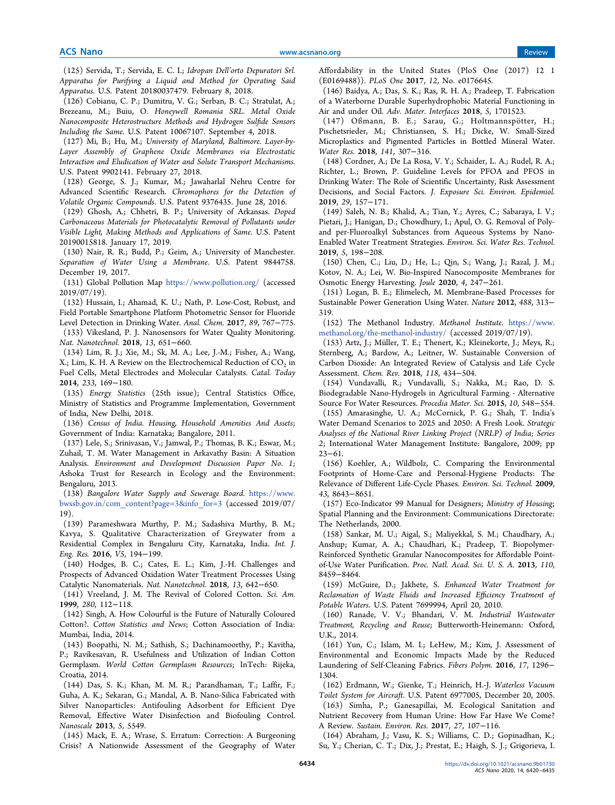(125) Servida, T.; Servida, E. C. I.; *Idropan Dell*'*orto Depuratori Srl. Apparatus for Purifying a Liquid and Method for Operating Said Apparatus*. U.S. Patent 20180037479. February 8, 2018.

(126) Cobianu, C. P.; Dumitru, V. G.; Serban, B. C.; Stratulat, A.; Brezeanu, M.; Buiu, O. *Honeywell Romania SRL. Metal Oxide Nanocomposite Heterostructure Methods and Hydrogen Sul*fi*de Sensors Including the Same*. U.S. Patent 10067107. September 4, 2018.

(127) Mi, B.; Hu, M.; *University of Maryland, Baltimore. Layer-by-Layer Assembly of Graphene Oxide Membranes via Electrostatic Interaction and Eludication of Water and Solute Transport Mechanisms*. U.S. Patent 9902141. February 27, 2018.

(128) George, S. J.; Kumar, M.; Jawaharlal Nehru Centre for Advanced Scientific Research. *Chromophores for the Detection of Volatile Organic Compounds*. U.S. Patent 9376435. June 28, 2016.

(129) Ghosh, A.; Chhetri, B. P.; University of Arkansas. *Doped Carbonaceous Materials for Photocatalytic Removal of Pollutants under Visible Light, Making Methods and Applications of Same*. U.S. Patent 20190015818. January 17, 2019.

(130) Nair, R. R.; Budd, P.; Geim, A.; University of Manchester. *Separation of Water Using a Membrane*. U.S. Patent 9844758. December 19, 2017.

(131) Global Pollution Map https://www.pollution.org/ (accessed 2019/07/19).

(132) Hussain, I.; Ahamad, K. U.; Nath, P. Low-Cost, Robust, and Field Portable Smartphone Platform Photometric Sensor for Fluoride Level Detection in Drinking Water. *Anal. Chem.* 2017, *89*, 767−775.

(133) Vikesland, P. J. Nanosensors for Water Quality Monitoring. *Nat. Nanotechnol.* 2018, *13*, 651−660.

(134) Lim, R. J.; Xie, M.; Sk, M. A.; Lee, J.-M.; Fisher, A.; Wang, X.; Lim, K. H. A Review on the Electrochemical Reduction of  $\mathrm{CO}_2$  in Fuel Cells, Metal Electrodes and Molecular Catalysts. *Catal. Today* 2014, *233*, 169−180.

(135) *Energy Statistics* (25th issue); Central Statistics Office, Ministry of Statistics and Programme Implementation, Government of India, New Delhi, 2018.

(136) *Census of India. Housing, Household Amenities And Assets*; Government of India: Karnataka; Bangalore, 2011.

(137) Lele, S.; Srinivasan, V.; Jamwal, P.; Thomas, B. K.; Eswar, M.; Zuhail, T. M. Water Management in Arkavathy Basin: A Situation Analysis. *Environment and Development Discussion Paper No. 1*; Ashoka Trust for Research in Ecology and the Environment: Bengaluru, 2013.

(138) *Bangalore Water Supply and Sewerage Board*. https://www. bwssb.gov.in/com\_content?page=3&info\_for=3 (accessed 2019/07/ 19).

(139) Parameshwara Murthy, P. M.; Sadashiva Murthy, B. M.; Kavya, S. Qualitative Characterization of Greywater from a Residential Complex in Bengaluru City, Karnataka, India. *Int. J. Eng. Res.* 2016, *V5*, 194−199.

(140) Hodges, B. C.; Cates, E. L.; Kim, J.-H. Challenges and Prospects of Advanced Oxidation Water Treatment Processes Using Catalytic Nanomaterials. *Nat. Nanotechnol.* 2018, *13*, 642−650.

(141) Vreeland, J. M. The Revival of Colored Cotton. *Sci. Am.* 1999, *280*, 112−118.

(142) Singh, A. How Colourful is the Future of Naturally Coloured Cotton?. *Cotton Statistics and News*; Cotton Association of India: Mumbai, India, 2014.

(143) Boopathi, N. M.; Sathish, S.; Dachinamoorthy, P.; Kavitha, P.; Ravikesavan, R. Usefulness and Utilization of Indian Cotton Germplasm. *World Cotton Germplasm Resources*; InTech: Rijeka, Croatia, 2014.

(144) Das, S. K.; Khan, M. M. R.; Parandhaman, T.; Laffir, F.; Guha, A. K.; Sekaran, G.; Mandal, A. B. Nano-Silica Fabricated with Silver Nanoparticles: Antifouling Adsorbent for Efficient Dye Removal, Effective Water Disinfection and Biofouling Control. *Nanoscale* 2013, *5*, 5549.

(145) Mack, E. A.; Wrase, S. Erratum: Correction: A Burgeoning Crisis? A Nationwide Assessment of the Geography of Water

Affordability in the United States (PloS One (2017) 12 1 (E0169488)). *PLoS One* 2017, *12*, No. e0176645.

(146) Baidya, A.; Das, S. K.; Ras, R. H. A.; Pradeep, T. Fabrication of a Waterborne Durable Superhydrophobic Material Functioning in Air and under Oil. *Adv. Mater. Interfaces* 2018, *5*, 1701523.

(147) Oßmann, B. E.; Sarau, G.; Holtmannspötter, H.; Pischetsrieder, M.; Christiansen, S. H.; Dicke, W. Small-Sized Microplastics and Pigmented Particles in Bottled Mineral Water. *Water Res.* 2018, *141*, 307−316.

(148) Cordner, A.; De La Rosa, V. Y.; Schaider, L. A.; Rudel, R. A.; Richter, L.; Brown, P. Guideline Levels for PFOA and PFOS in Drinking Water: The Role of Scientific Uncertainty, Risk Assessment Decisions, and Social Factors. *J. Exposure Sci. Environ. Epidemiol.* 2019, *29*, 157−171.

(149) Saleh, N. B.; Khalid, A.; Tian, Y.; Ayres, C.; Sabaraya, I. V.; Pietari, J.; Hanigan, D.; Chowdhury, I.; Apul, O. G. Removal of Polyand per-Fluoroalkyl Substances from Aqueous Systems by Nano-Enabled Water Treatment Strategies. *Environ. Sci. Water Res. Technol.* 2019, *5*, 198−208.

(150) Chen, C.; Liu, D.; He, L.; Qin, S.; Wang, J.; Razal, J. M.; Kotov, N. A.; Lei, W. Bio-Inspired Nanocomposite Membranes for Osmotic Energy Harvesting. *Joule* 2020, *4*, 247−261.

(151) Logan, B. E.; Elimelech, M. Membrane-Based Processes for Sustainable Power Generation Using Water. *Nature* 2012, *488*, 313− 319.

(152) The Methanol Industry. *Methanol Institute*. https://www. methanol.org/the-methanol-industry/ (accessed 2019/07/19).

(153) Artz, J.; Müller, T. E.; Thenert, K.; Kleinekorte, J.; Meys, R.; Sternberg, A.; Bardow, A.; Leitner, W. Sustainable Conversion of Carbon Dioxide: An Integrated Review of Catalysis and Life Cycle Assessment. *Chem. Rev.* 2018, *118*, 434−504.

(154) Vundavalli, R.; Vundavalli, S.; Nakka, M.; Rao, D. S. Biodegradable Nano-Hydrogels in Agricultural Farming - Alternative Source For Water Resources. *Procedia Mater. Sci.* 2015, *10*, 548−554. (155) Amarasinghe, U. A.; McCornick, P. G.; Shah, T. India's Water Demand Scenarios to 2025 and 2050: A Fresh Look. *Strategic Analyses of the National River Linking Project (NRLP) of India; Series*

*2*; International Water Management Institute: Bangalore, 2009; pp 23−61. (156) Koehler, A.; Wildbolz, C. Comparing the Environmental Footprints of Home-Care and Personal-Hygiene Products: The

Relevance of Different Life-Cycle Phases. *Environ. Sci. Technol.* 2009, *43*, 8643−8651.

(157) Eco-Indicator 99 Manual for Designers; *Ministry of Housing*; Spatial Planning and the Environment: Communications Directorate: The Netherlands, 2000.

(158) Sankar, M. U.; Aigal, S.; Maliyekkal, S. M.; Chaudhary, A.; Anshup; Kumar, A. A.; Chaudhari, K.; Pradeep, T. Biopolymer-Reinforced Synthetic Granular Nanocomposites for Affordable Pointof-Use Water Purification. *Proc. Natl. Acad. Sci. U. S. A.* 2013, *110*, 8459−8464.

(159) McGuire, D.; Jakhete, S. *Enhanced Water Treatment for Reclamation of Waste Fluids and Increased E*ffi*ciency Treatment of Potable Waters*. U.S. Patent 7699994, April 20, 2010.

(160) Ranade, V. V.; Bhandari, V. M. *Industrial Wastewater Treatment, Recycling and Reuse*; Butterworth-Heinemann: Oxford, U.K., 2014.

(161) Yun, C.; Islam, M. I.; LeHew, M.; Kim, J. Assessment of Environmental and Economic Impacts Made by the Reduced Laundering of Self-Cleaning Fabrics. *Fibers Polym.* 2016, *17*, 1296− 1304.

(162) Erdmann, W.; Gienke, T.; Heinrich, H.-J. *Waterless Vacuum Toilet System for Aircraft*. U.S. Patent 6977005, December 20, 2005. (163) Simha, P.; Ganesapillai, M. Ecological Sanitation and Nutrient Recovery from Human Urine: How Far Have We Come? A Review. *Sustain. Environ. Res.* 2017, *27*, 107−116.

(164) Abraham, J.; Vasu, K. S.; Williams, C. D.; Gopinadhan, K.; Su, Y.; Cherian, C. T.; Dix, J.; Prestat, E.; Haigh, S. J.; Grigorieva, I.